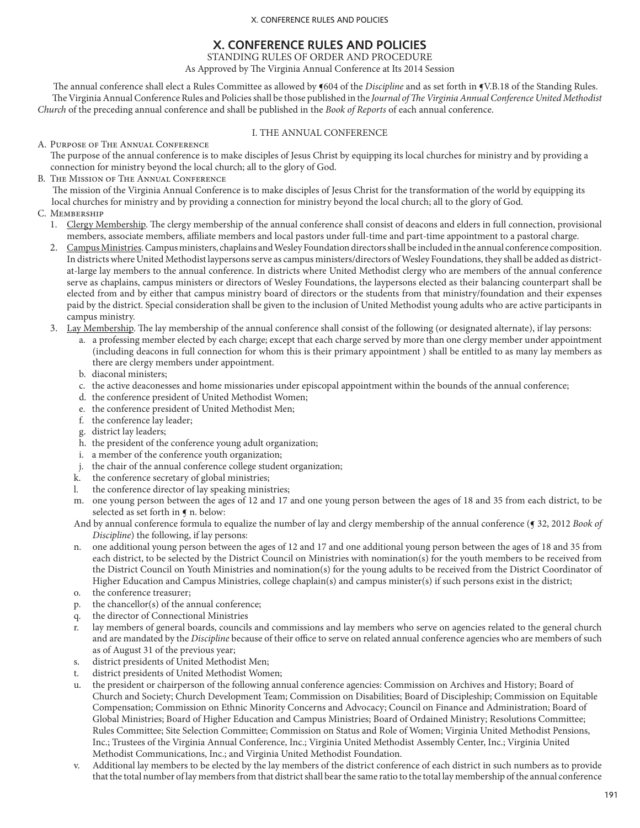# **X. CONFERENCE RULES AND POLICIES**

STANDING RULES OF ORDER AND PROCEDURE

As Approved by The Virginia Annual Conference at Its 2014 Session

The annual conference shall elect a Rules Committee as allowed by **§**604 of the *Discipline* and as set forth in **§**V.B.18 of the Standing Rules. The Virginia Annual Conference Rules and Policies shall be those published in the *Journal of The Virginia Annual Conference United Methodist Church* of the preceding annual conference and shall be published in the *Book of Reports* of each annual conference.

# I. THE ANNUAL CONFERENCE

A. Purpose of The Annual Conference

The purpose of the annual conference is to make disciples of Jesus Christ by equipping its local churches for ministry and by providing a connection for ministry beyond the local church; all to the glory of God.

B. The Mission of The Annual Conference

The mission of the Virginia Annual Conference is to make disciples of Jesus Christ for the transformation of the world by equipping its local churches for ministry and by providing a connection for ministry beyond the local church; all to the glory of God.

- C. Membership
	- 1. Clergy Membership. The clergy membership of the annual conference shall consist of deacons and elders in full connection, provisional members, associate members, affiliate members and local pastors under full-time and part-time appointment to a pastoral charge.
	- 2. Campus Ministries. Campus ministers, chaplains and Wesley Foundation directors shall be included in the annual conference composition. In districts where United Methodist laypersons serve as campus ministers/directors of Wesley Foundations, they shall be added as districtat-large lay members to the annual conference. In districts where United Methodist clergy who are members of the annual conference serve as chaplains, campus ministers or directors of Wesley Foundations, the laypersons elected as their balancing counterpart shall be elected from and by either that campus ministry board of directors or the students from that ministry/foundation and their expenses paid by the district. Special consideration shall be given to the inclusion of United Methodist young adults who are active participants in campus ministry.
	- 3. Lay Membership. The lay membership of the annual conference shall consist of the following (or designated alternate), if lay persons:
		- a. a professing member elected by each charge; except that each charge served by more than one clergy member under appointment (including deacons in full connection for whom this is their primary appointment ) shall be entitled to as many lay members as there are clergy members under appointment.
		- b. diaconal ministers;
		- c. the active deaconesses and home missionaries under episcopal appointment within the bounds of the annual conference;
		- d. the conference president of United Methodist Women;
		- e. the conference president of United Methodist Men;
		- f. the conference lay leader;
		- g. district lay leaders;
		- h. the president of the conference young adult organization;
		- i. a member of the conference youth organization;
		- j. the chair of the annual conference college student organization;
		- the conference secretary of global ministries;
		- l. the conference director of lay speaking ministries;
		- m. one young person between the ages of 12 and 17 and one young person between the ages of 18 and 35 from each district, to be selected as set forth in  $\P$  n. below:
		- And by annual conference formula to equalize the number of lay and clergy membership of the annual conference (¶ 32, 2012 *Book of Discipline*) the following, if lay persons:
		- n. one additional young person between the ages of 12 and 17 and one additional young person between the ages of 18 and 35 from each district, to be selected by the District Council on Ministries with nomination(s) for the youth members to be received from the District Council on Youth Ministries and nomination(s) for the young adults to be received from the District Coordinator of Higher Education and Campus Ministries, college chaplain(s) and campus minister(s) if such persons exist in the district;
		- o. the conference treasurer;
		- p. the chancellor(s) of the annual conference;
		- q. the director of Connectional Ministries
		- r. lay members of general boards, councils and commissions and lay members who serve on agencies related to the general church and are mandated by the *Discipline* because of their office to serve on related annual conference agencies who are members of such as of August 31 of the previous year;
		- s. district presidents of United Methodist Men;
		- t. district presidents of United Methodist Women;
		- u. the president or chairperson of the following annual conference agencies: Commission on Archives and History; Board of Church and Society; Church Development Team; Commission on Disabilities; Board of Discipleship; Commission on Equitable Compensation; Commission on Ethnic Minority Concerns and Advocacy; Council on Finance and Administration; Board of Global Ministries; Board of Higher Education and Campus Ministries; Board of Ordained Ministry; Resolutions Committee; Rules Committee; Site Selection Committee; Commission on Status and Role of Women; Virginia United Methodist Pensions, Inc.; Trustees of the Virginia Annual Conference, Inc.; Virginia United Methodist Assembly Center, Inc.; Virginia United Methodist Communications, Inc.; and Virginia United Methodist Foundation.
		- v. Additional lay members to be elected by the lay members of the district conference of each district in such numbers as to provide that the total number of lay members from that district shall bear the same ratio to the total lay membership of the annual conference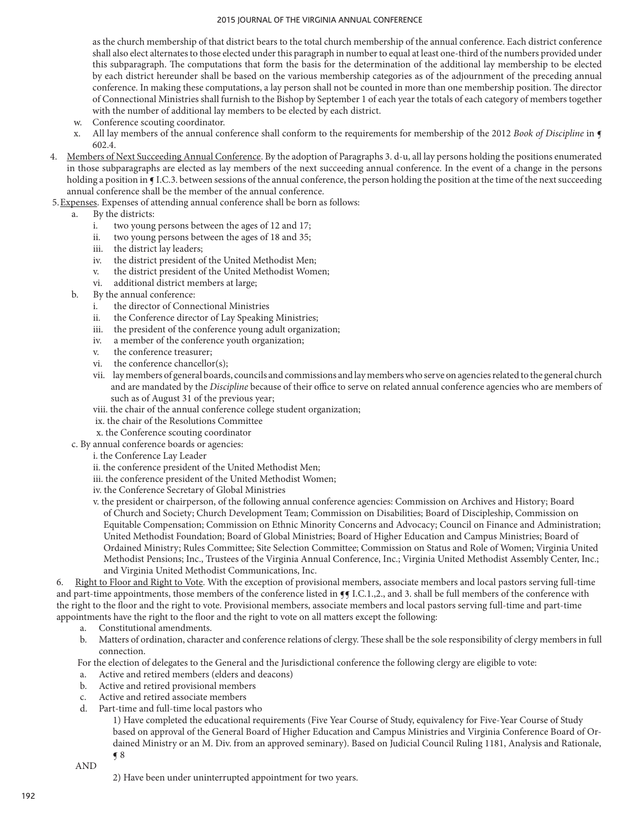as the church membership of that district bears to the total church membership of the annual conference. Each district conference shall also elect alternates to those elected under this paragraph in number to equal at least one-third of the numbers provided under this subparagraph. The computations that form the basis for the determination of the additional lay membership to be elected by each district hereunder shall be based on the various membership categories as of the adjournment of the preceding annual conference. In making these computations, a lay person shall not be counted in more than one membership position. The director of Connectional Ministries shall furnish to the Bishop by September 1 of each year the totals of each category of members together with the number of additional lay members to be elected by each district.

- w. Conference scouting coordinator.
- x. All lay members of the annual conference shall conform to the requirements for membership of the 2012 *Book of Discipline* in ¶ 602.4.
- 4. Members of Next Succeeding Annual Conference. By the adoption of Paragraphs 3. d-u, all lay persons holding the positions enumerated in those subparagraphs are elected as lay members of the next succeeding annual conference. In the event of a change in the persons holding a position in **[I.C.3.** between sessions of the annual conference, the person holding the position at the time of the next succeeding annual conference shall be the member of the annual conference.
- 5.Expenses. Expenses of attending annual conference shall be born as follows:
	- a. By the districts:
		- i. two young persons between the ages of 12 and 17;
		- ii. two young persons between the ages of 18 and 35;
		- iii. the district lay leaders;
		- iv. the district president of the United Methodist Men;
		- v. the district president of the United Methodist Women;
		- vi. additional district members at large;
	- b. By the annual conference:
		- i. the director of Connectional Ministries
		- ii. the Conference director of Lay Speaking Ministries;
		- iii. the president of the conference young adult organization;
		- iv. a member of the conference youth organization;
		- v. the conference treasurer;
		- vi. the conference chancellor(s);
		- vii. lay members of general boards, councils and commissions and lay members who serve on agencies related to the general church and are mandated by the *Discipline* because of their office to serve on related annual conference agencies who are members of such as of August 31 of the previous year;
		- viii. the chair of the annual conference college student organization;
		- ix. the chair of the Resolutions Committee
		- x. the Conference scouting coordinator
	- c. By annual conference boards or agencies:
		- i. the Conference Lay Leader
			- ii. the conference president of the United Methodist Men;
		- iii. the conference president of the United Methodist Women;
		- iv. the Conference Secretary of Global Ministries
		- v. the president or chairperson, of the following annual conference agencies: Commission on Archives and History; Board of Church and Society; Church Development Team; Commission on Disabilities; Board of Discipleship, Commission on Equitable Compensation; Commission on Ethnic Minority Concerns and Advocacy; Council on Finance and Administration; United Methodist Foundation; Board of Global Ministries; Board of Higher Education and Campus Ministries; Board of Ordained Ministry; Rules Committee; Site Selection Committee; Commission on Status and Role of Women; Virginia United Methodist Pensions; Inc., Trustees of the Virginia Annual Conference, Inc.; Virginia United Methodist Assembly Center, Inc.; and Virginia United Methodist Communications, Inc.

6. Right to Floor and Right to Vote. With the exception of provisional members, associate members and local pastors serving full-time and part-time appointments, those members of the conference listed in  $\P$  I.C.1.,2., and 3. shall be full members of the conference with the right to the floor and the right to vote. Provisional members, associate members and local pastors serving full-time and part-time appointments have the right to the floor and the right to vote on all matters except the following:

- a. Constitutional amendments.
- b. Matters of ordination, character and conference relations of clergy. These shall be the sole responsibility of clergy members in full connection.

For the election of delegates to the General and the Jurisdictional conference the following clergy are eligible to vote:

- a. Active and retired members (elders and deacons)
- b. Active and retired provisional members
- c. Active and retired associate members
- d. Part-time and full-time local pastors who

1) Have completed the educational requirements (Five Year Course of Study, equivalency for Five-Year Course of Study based on approval of the General Board of Higher Education and Campus Ministries and Virginia Conference Board of Ordained Ministry or an M. Div. from an approved seminary). Based on Judicial Council Ruling 1181, Analysis and Rationale, ¶ 8

AND

2) Have been under uninterrupted appointment for two years.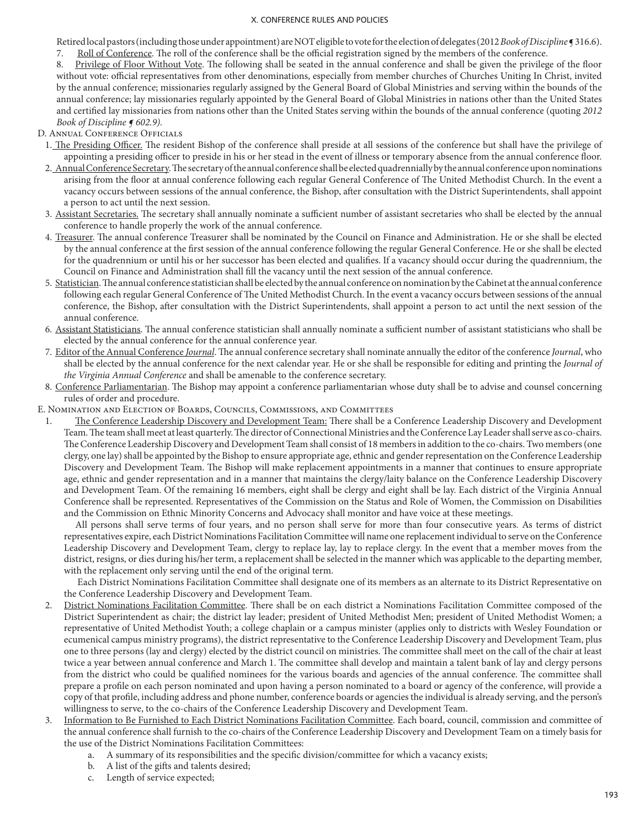Retired local pastors (including those under appointment) are NOT eligible to vote for the election of delegates (2012 *Book of Discipline* ¶ 316.6). 7. Roll of Conference. The roll of the conference shall be the official registration signed by the members of the conference.

- 8. Privilege of Floor Without Vote. The following shall be seated in the annual conference and shall be given the privilege of the floor without vote: official representatives from other denominations, especially from member churches of Churches Uniting In Christ, invited by the annual conference; missionaries regularly assigned by the General Board of Global Ministries and serving within the bounds of the annual conference; lay missionaries regularly appointed by the General Board of Global Ministries in nations other than the United States and certified lay missionaries from nations other than the United States serving within the bounds of the annual conference (quoting *2012 Book of Discipline ¶ 602.9).*
- D. Annual Conference Officials
	- 1. The Presiding Officer. The resident Bishop of the conference shall preside at all sessions of the conference but shall have the privilege of appointing a presiding officer to preside in his or her stead in the event of illness or temporary absence from the annual conference floor.
	- 2. Annual Conference Secretary. The secretary of the annual conference shall be elected quadrennially by the annual conference upon nominations arising from the floor at annual conference following each regular General Conference of The United Methodist Church. In the event a vacancy occurs between sessions of the annual conference, the Bishop, after consultation with the District Superintendents, shall appoint a person to act until the next session.
	- 3. Assistant Secretaries. The secretary shall annually nominate a sufficient number of assistant secretaries who shall be elected by the annual conference to handle properly the work of the annual conference.
	- 4. Treasurer. The annual conference Treasurer shall be nominated by the Council on Finance and Administration. He or she shall be elected by the annual conference at the first session of the annual conference following the regular General Conference. He or she shall be elected for the quadrennium or until his or her successor has been elected and qualifies. If a vacancy should occur during the quadrennium, the Council on Finance and Administration shall fill the vacancy until the next session of the annual conference.
	- 5. Statistician. The annual conference statistician shall be elected by the annual conference on nomination by the Cabinet at the annual conference following each regular General Conference of The United Methodist Church. In the event a vacancy occurs between sessions of the annual conference, the Bishop, after consultation with the District Superintendents, shall appoint a person to act until the next session of the annual conference.
	- 6. Assistant Statisticians. The annual conference statistician shall annually nominate a sufficient number of assistant statisticians who shall be elected by the annual conference for the annual conference year.
	- 7. Editor of the Annual Conference *Journal*. The annual conference secretary shall nominate annually the editor of the conference *Journal*, who shall be elected by the annual conference for the next calendar year. He or she shall be responsible for editing and printing the *Journal of the Virginia Annual Conference* and shall be amenable to the conference secretary.
	- 8. Conference Parliamentarian. The Bishop may appoint a conference parliamentarian whose duty shall be to advise and counsel concerning rules of order and procedure.
- E. Nomination and Election of Boards, Councils, Commissions, and Committees
	- 1. The Conference Leadership Discovery and Development Team: There shall be a Conference Leadership Discovery and Development Team. The team shall meet at least quarterly. The director of Connectional Ministries and the Conference Lay Leader shall serve as co-chairs. The Conference Leadership Discovery and Development Team shall consist of 18 members in addition to the co-chairs. Two members (one clergy, one lay) shall be appointed by the Bishop to ensure appropriate age, ethnic and gender representation on the Conference Leadership Discovery and Development Team. The Bishop will make replacement appointments in a manner that continues to ensure appropriate age, ethnic and gender representation and in a manner that maintains the clergy/laity balance on the Conference Leadership Discovery and Development Team. Of the remaining 16 members, eight shall be clergy and eight shall be lay. Each district of the Virginia Annual Conference shall be represented. Representatives of the Commission on the Status and Role of Women, the Commission on Disabilities and the Commission on Ethnic Minority Concerns and Advocacy shall monitor and have voice at these meetings.

 All persons shall serve terms of four years, and no person shall serve for more than four consecutive years. As terms of district representatives expire, each District Nominations Facilitation Committee will name one replacement individual to serve on the Conference Leadership Discovery and Development Team, clergy to replace lay, lay to replace clergy. In the event that a member moves from the district, resigns, or dies during his/her term, a replacement shall be selected in the manner which was applicable to the departing member, with the replacement only serving until the end of the original term.

 Each District Nominations Facilitation Committee shall designate one of its members as an alternate to its District Representative on the Conference Leadership Discovery and Development Team.

- 2. District Nominations Facilitation Committee. There shall be on each district a Nominations Facilitation Committee composed of the District Superintendent as chair; the district lay leader; president of United Methodist Men; president of United Methodist Women; a representative of United Methodist Youth; a college chaplain or a campus minister (applies only to districts with Wesley Foundation or ecumenical campus ministry programs), the district representative to the Conference Leadership Discovery and Development Team, plus one to three persons (lay and clergy) elected by the district council on ministries. The committee shall meet on the call of the chair at least twice a year between annual conference and March 1. The committee shall develop and maintain a talent bank of lay and clergy persons from the district who could be qualified nominees for the various boards and agencies of the annual conference. The committee shall prepare a profile on each person nominated and upon having a person nominated to a board or agency of the conference, will provide a copy of that profile, including address and phone number, conference boards or agencies the individual is already serving, and the person's willingness to serve, to the co-chairs of the Conference Leadership Discovery and Development Team.
- 3. Information to Be Furnished to Each District Nominations Facilitation Committee. Each board, council, commission and committee of the annual conference shall furnish to the co-chairs of the Conference Leadership Discovery and Development Team on a timely basis for the use of the District Nominations Facilitation Committees:
	- a. A summary of its responsibilities and the specific division/committee for which a vacancy exists;
	- b. A list of the gifts and talents desired;
	- c. Length of service expected;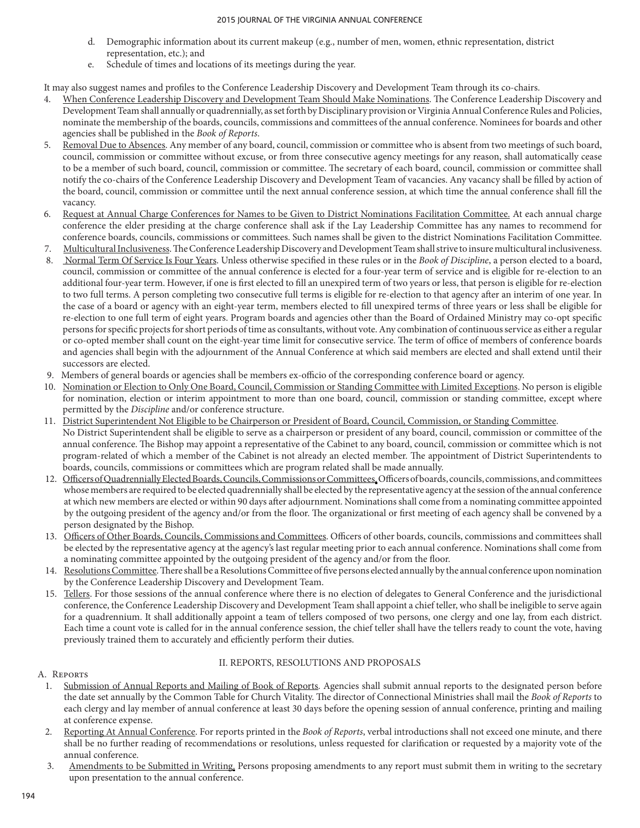- d. Demographic information about its current makeup (e.g., number of men, women, ethnic representation, district representation, etc.); and
- e. Schedule of times and locations of its meetings during the year.

It may also suggest names and profiles to the Conference Leadership Discovery and Development Team through its co-chairs.

- 4. When Conference Leadership Discovery and Development Team Should Make Nominations. The Conference Leadership Discovery and Development Team shall annually or quadrennially, as set forth by Disciplinary provision or Virginia Annual Conference Rules and Policies, nominate the membership of the boards, councils, commissions and committees of the annual conference. Nominees for boards and other agencies shall be published in the *Book of Reports*.
- 5. Removal Due to Absences. Any member of any board, council, commission or committee who is absent from two meetings of such board, council, commission or committee without excuse, or from three consecutive agency meetings for any reason, shall automatically cease to be a member of such board, council, commission or committee. The secretary of each board, council, commission or committee shall notify the co-chairs of the Conference Leadership Discovery and Development Team of vacancies. Any vacancy shall be filled by action of the board, council, commission or committee until the next annual conference session, at which time the annual conference shall fill the vacancy.
- 6. Request at Annual Charge Conferences for Names to be Given to District Nominations Facilitation Committee. At each annual charge conference the elder presiding at the charge conference shall ask if the Lay Leadership Committee has any names to recommend for conference boards, councils, commissions or committees. Such names shall be given to the district Nominations Facilitation Committee.
- 7. Multicultural Inclusiveness. The Conference Leadership Discovery and Development Team shall strive to insure multicultural inclusiveness.
- 8. Normal Term Of Service Is Four Years. Unless otherwise specified in these rules or in the *Book of Discipline*, a person elected to a board, council, commission or committee of the annual conference is elected for a four-year term of service and is eligible for re-election to an additional four-year term. However, if one is first elected to fill an unexpired term of two years or less, that person is eligible for re-election to two full terms. A person completing two consecutive full terms is eligible for re-election to that agency after an interim of one year. In the case of a board or agency with an eight-year term, members elected to fill unexpired terms of three years or less shall be eligible for re-election to one full term of eight years. Program boards and agencies other than the Board of Ordained Ministry may co-opt specific persons for specific projects for short periods of time as consultants, without vote. Any combination of continuous service as either a regular or co-opted member shall count on the eight-year time limit for consecutive service. The term of office of members of conference boards and agencies shall begin with the adjournment of the Annual Conference at which said members are elected and shall extend until their successors are elected.
- 9. Members of general boards or agencies shall be members ex-officio of the corresponding conference board or agency.
- 10. Nomination or Election to Only One Board, Council, Commission or Standing Committee with Limited Exceptions. No person is eligible for nomination, election or interim appointment to more than one board, council, commission or standing committee, except where permitted by the *Discipline* and/or conference structure.
- 11. District Superintendent Not Eligible to be Chairperson or President of Board, Council, Commission, or Standing Committee. No District Superintendent shall be eligible to serve as a chairperson or president of any board, council, commission or committee of the annual conference. The Bishop may appoint a representative of the Cabinet to any board, council, commission or committee which is not program-related of which a member of the Cabinet is not already an elected member. The appointment of District Superintendents to boards, councils, commissions or committees which are program related shall be made annually.
- 12. Officers of Quadrennially Elected Boards, Councils, Commissions or Committees. Officers of boards, councils, commissions, and committees whose members are required to be elected quadrennially shall be elected by the representative agency at the session of the annual conference at which new members are elected or within 90 days after adjournment. Nominations shall come from a nominating committee appointed by the outgoing president of the agency and/or from the floor. The organizational or first meeting of each agency shall be convened by a person designated by the Bishop.
- 13. Officers of Other Boards, Councils, Commissions and Committees. Officers of other boards, councils, commissions and committees shall be elected by the representative agency at the agency's last regular meeting prior to each annual conference. Nominations shall come from a nominating committee appointed by the outgoing president of the agency and/or from the floor.
- 14. Resolutions Committee. There shall be a Resolutions Committee of five persons elected annually by the annual conference upon nomination by the Conference Leadership Discovery and Development Team.
- 15. Tellers. For those sessions of the annual conference where there is no election of delegates to General Conference and the jurisdictional conference, the Conference Leadership Discovery and Development Team shall appoint a chief teller, who shall be ineligible to serve again for a quadrennium. It shall additionally appoint a team of tellers composed of two persons, one clergy and one lay, from each district. Each time a count vote is called for in the annual conference session, the chief teller shall have the tellers ready to count the vote, having previously trained them to accurately and efficiently perform their duties.

## II. REPORTS, RESOLUTIONS AND PROPOSALS

# A. Reports

- 1. Submission of Annual Reports and Mailing of Book of Reports. Agencies shall submit annual reports to the designated person before the date set annually by the Common Table for Church Vitality. The director of Connectional Ministries shall mail the *Book of Reports* to each clergy and lay member of annual conference at least 30 days before the opening session of annual conference, printing and mailing at conference expense.
- 2. Reporting At Annual Conference. For reports printed in the *Book of Reports*, verbal introductions shall not exceed one minute, and there shall be no further reading of recommendations or resolutions, unless requested for clarification or requested by a majority vote of the annual conference.
- 3. Amendments to be Submitted in Writing. Persons proposing amendments to any report must submit them in writing to the secretary upon presentation to the annual conference.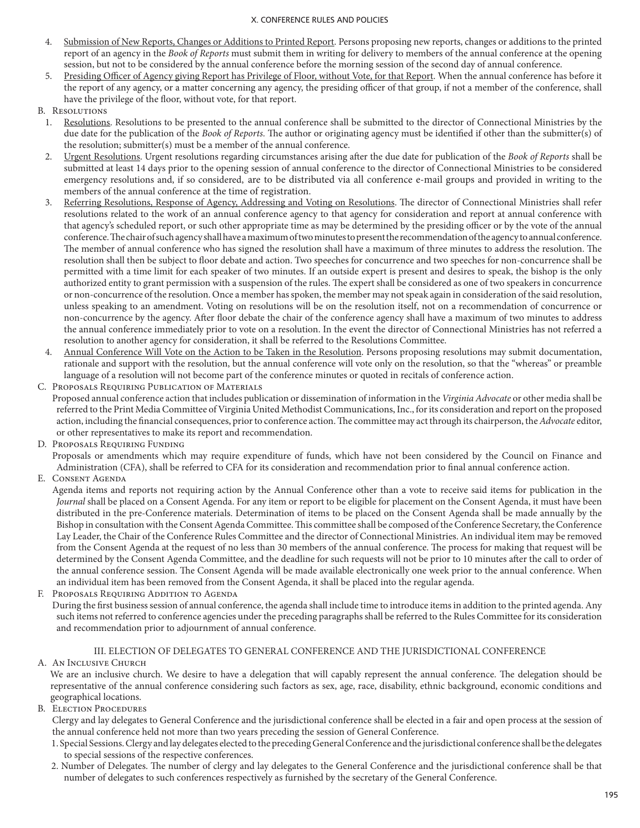- 4. Submission of New Reports, Changes or Additions to Printed Report. Persons proposing new reports, changes or additions to the printed report of an agency in the *Book of Reports* must submit them in writing for delivery to members of the annual conference at the opening session, but not to be considered by the annual conference before the morning session of the second day of annual conference.
- 5. Presiding Officer of Agency giving Report has Privilege of Floor, without Vote, for that Report. When the annual conference has before it the report of any agency, or a matter concerning any agency, the presiding officer of that group, if not a member of the conference, shall have the privilege of the floor, without vote, for that report.
- B. Resolutions
	- 1. Resolutions. Resolutions to be presented to the annual conference shall be submitted to the director of Connectional Ministries by the due date for the publication of the *Book of Reports.* The author or originating agency must be identified if other than the submitter(s) of the resolution; submitter(s) must be a member of the annual conference.
	- 2. Urgent Resolutions. Urgent resolutions regarding circumstances arising after the due date for publication of the *Book of Reports* shall be submitted at least 14 days prior to the opening session of annual conference to the director of Connectional Ministries to be considered emergency resolutions and, if so considered, are to be distributed via all conference e-mail groups and provided in writing to the members of the annual conference at the time of registration.
	- 3. Referring Resolutions, Response of Agency, Addressing and Voting on Resolutions. The director of Connectional Ministries shall refer resolutions related to the work of an annual conference agency to that agency for consideration and report at annual conference with that agency's scheduled report, or such other appropriate time as may be determined by the presiding officer or by the vote of the annual conference. The chair of such agency shall have a maximum of two minutes to present the recommendation of the agency to annual conference. The member of annual conference who has signed the resolution shall have a maximum of three minutes to address the resolution. The resolution shall then be subject to floor debate and action. Two speeches for concurrence and two speeches for non-concurrence shall be permitted with a time limit for each speaker of two minutes. If an outside expert is present and desires to speak, the bishop is the only authorized entity to grant permission with a suspension of the rules. The expert shall be considered as one of two speakers in concurrence or non-concurrence of the resolution. Once a member has spoken, the member may not speak again in consideration of the said resolution, unless speaking to an amendment. Voting on resolutions will be on the resolution itself, not on a recommendation of concurrence or non-concurrence by the agency. After floor debate the chair of the conference agency shall have a maximum of two minutes to address the annual conference immediately prior to vote on a resolution. In the event the director of Connectional Ministries has not referred a resolution to another agency for consideration, it shall be referred to the Resolutions Committee.
	- 4. Annual Conference Will Vote on the Action to be Taken in the Resolution. Persons proposing resolutions may submit documentation, rationale and support with the resolution, but the annual conference will vote only on the resolution, so that the "whereas" or preamble language of a resolution will not become part of the conference minutes or quoted in recitals of conference action.
- C. Proposals Requiring Publication of Materials
- Proposed annual conference action that includes publication or dissemination of information in the *Virginia Advocate* or other media shall be referred to the Print Media Committee of Virginia United Methodist Communications, Inc., for its consideration and report on the proposed action, including the financial consequences, prior to conference action. The committee may act through its chairperson, the *Advocate* editor, or other representatives to make its report and recommendation.
- D. Proposals Requiring Funding

Proposals or amendments which may require expenditure of funds, which have not been considered by the Council on Finance and Administration (CFA), shall be referred to CFA for its consideration and recommendation prior to final annual conference action.

E. Consent Agenda

Agenda items and reports not requiring action by the Annual Conference other than a vote to receive said items for publication in the *Journal* shall be placed on a Consent Agenda. For any item or report to be eligible for placement on the Consent Agenda, it must have been distributed in the pre-Conference materials. Determination of items to be placed on the Consent Agenda shall be made annually by the Bishop in consultation with the Consent Agenda Committee. This committee shall be composed of the Conference Secretary, the Conference Lay Leader, the Chair of the Conference Rules Committee and the director of Connectional Ministries. An individual item may be removed from the Consent Agenda at the request of no less than 30 members of the annual conference. The process for making that request will be determined by the Consent Agenda Committee, and the deadline for such requests will not be prior to 10 minutes after the call to order of the annual conference session. The Consent Agenda will be made available electronically one week prior to the annual conference. When an individual item has been removed from the Consent Agenda, it shall be placed into the regular agenda.

F. Proposals Requiring Addition to Agenda

During the first business session of annual conference, the agenda shall include time to introduce items in addition to the printed agenda. Any such items not referred to conference agencies under the preceding paragraphs shall be referred to the Rules Committee for its consideration and recommendation prior to adjournment of annual conference.

## III. ELECTION OF DELEGATES TO GENERAL CONFERENCE AND THE JURISDICTIONAL CONFERENCE

A. An Inclusive Church

We are an inclusive church. We desire to have a delegation that will capably represent the annual conference. The delegation should be representative of the annual conference considering such factors as sex, age, race, disability, ethnic background, economic conditions and geographical locations.

B. Election Procedures

Clergy and lay delegates to General Conference and the jurisdictional conference shall be elected in a fair and open process at the session of the annual conference held not more than two years preceding the session of General Conference.

- 1. Special Sessions. Clergy and lay delegates elected to the preceding General Conference and the jurisdictional conference shall be the delegates to special sessions of the respective conferences.
- 2. Number of Delegates. The number of clergy and lay delegates to the General Conference and the jurisdictional conference shall be that number of delegates to such conferences respectively as furnished by the secretary of the General Conference.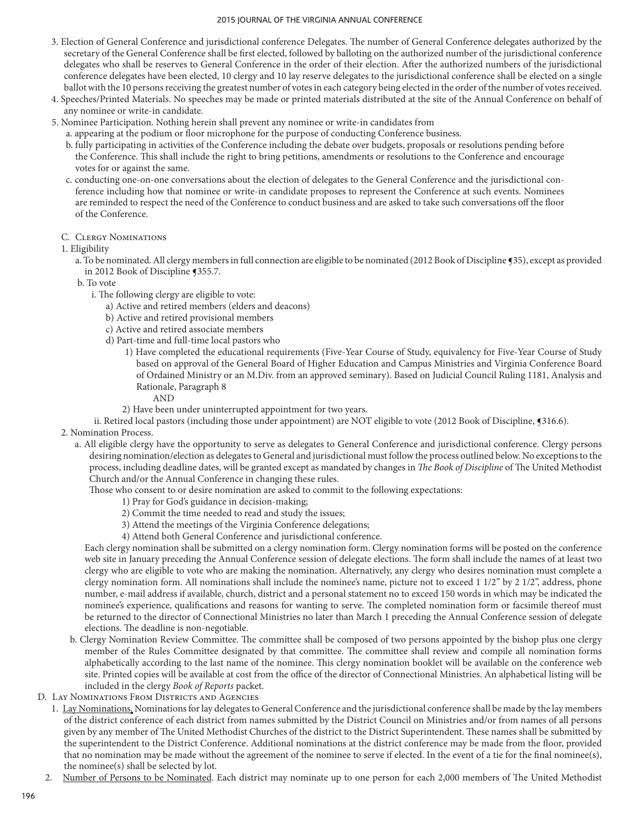- 3. Election of General Conference and jurisdictional conference Delegates. The number of General Conference delegates authorized by the secretary of the General Conference shall be first elected, followed by balloting on the authorized number of the jurisdictional conference delegates who shall be reserves to General Conference in the order of their election. After the authorized numbers of the jurisdictional conference delegates have been elected, 10 clergy and 10 lay reserve delegates to the jurisdictional conference shall be elected on a single ballot with the 10 persons receiving the greatest number of votes in each category being elected in the order of the number of votes received.
- 4. Speeches/Printed Materials. No speeches may be made or printed materials distributed at the site of the Annual Conference on behalf of any nominee or write-in candidate.
- 5. Nominee Participation. Nothing herein shall prevent any nominee or write-in candidates from
	- a. appearing at the podium or floor microphone for the purpose of conducting Conference business.
	- b. fully participating in activities of the Conference including the debate over budgets, proposals or resolutions pending before the Conference. This shall include the right to bring petitions, amendments or resolutions to the Conference and encourage votes for or against the same.
	- c. conducting one-on-one conversations about the election of delegates to the General Conference and the jurisdictional conference including how that nominee or write-in candidate proposes to represent the Conference at such events. Nominees are reminded to respect the need of the Conference to conduct business and are asked to take such conversations off the floor of the Conference.
	- C. Clergy Nominations
	- 1. Eligibility
		- a. To be nominated. All clergy members in full connection are eligible to be nominated (2012 Book of Discipline ¶35), except as provided in 2012 Book of Discipline ¶355.7.
		- b. To vote
			- i. The following clergy are eligible to vote:
				- a) Active and retired members (elders and deacons)
				- b) Active and retired provisional members
				- c) Active and retired associate members
				- d) Part-time and full-time local pastors who
					- 1) Have completed the educational requirements (Five-Year Course of Study, equivalency for Five-Year Course of Study based on approval of the General Board of Higher Education and Campus Ministries and Virginia Conference Board of Ordained Ministry or an M.Div. from an approved seminary). Based on Judicial Council Ruling 1181, Analysis and Rationale, Paragraph 8
						- AND
					- 2) Have been under uninterrupted appointment for two years.

ii. Retired local pastors (including those under appointment) are NOT eligible to vote (2012 Book of Discipline, ¶316.6).

- 2. Nomination Process.
	- a. All eligible clergy have the opportunity to serve as delegates to General Conference and jurisdictional conference. Clergy persons desiring nomination/election as delegates to General and jurisdictional must follow the process outlined below. No exceptions to the process, including deadline dates, will be granted except as mandated by changes in *The Book of Discipline* of The United Methodist Church and/or the Annual Conference in changing these rules.

Those who consent to or desire nomination are asked to commit to the following expectations:

- 1) Pray for God's guidance in decision-making;
- 2) Commit the time needed to read and study the issues;
- 3) Attend the meetings of the Virginia Conference delegations;
- 4) Attend both General Conference and jurisdictional conference.

Each clergy nomination shall be submitted on a clergy nomination form. Clergy nomination forms will be posted on the conference web site in January preceding the Annual Conference session of delegate elections. The form shall include the names of at least two clergy who are eligible to vote who are making the nomination. Alternatively, any clergy who desires nomination must complete a clergy nomination form. All nominations shall include the nominee's name, picture not to exceed 1 1/2" by 2 1/2", address, phone number, e-mail address if available, church, district and a personal statement no to exceed 150 words in which may be indicated the nominee's experience, qualifications and reasons for wanting to serve. The completed nomination form or facsimile thereof must be returned to the director of Connectional Ministries no later than March 1 preceding the Annual Conference session of delegate elections. The deadline is non-negotiable.

- b. Clergy Nomination Review Committee. The committee shall be composed of two persons appointed by the bishop plus one clergy member of the Rules Committee designated by that committee. The committee shall review and compile all nomination forms alphabetically according to the last name of the nominee. This clergy nomination booklet will be available on the conference web site. Printed copies will be available at cost from the office of the director of Connectional Ministries. An alphabetical listing will be included in the clergy *Book of Reports* packet.
- D. Lay Nominations From Districts and Agencies
	- 1. Lay Nominations. Nominations for lay delegates to General Conference and the jurisdictional conference shall be made by the lay members of the district conference of each district from names submitted by the District Council on Ministries and/or from names of all persons given by any member of The United Methodist Churches of the district to the District Superintendent. These names shall be submitted by the superintendent to the District Conference. Additional nominations at the district conference may be made from the floor, provided that no nomination may be made without the agreement of the nominee to serve if elected. In the event of a tie for the final nominee(s), the nominee(s) shall be selected by lot.
	- 2. Number of Persons to be Nominated. Each district may nominate up to one person for each 2,000 members of The United Methodist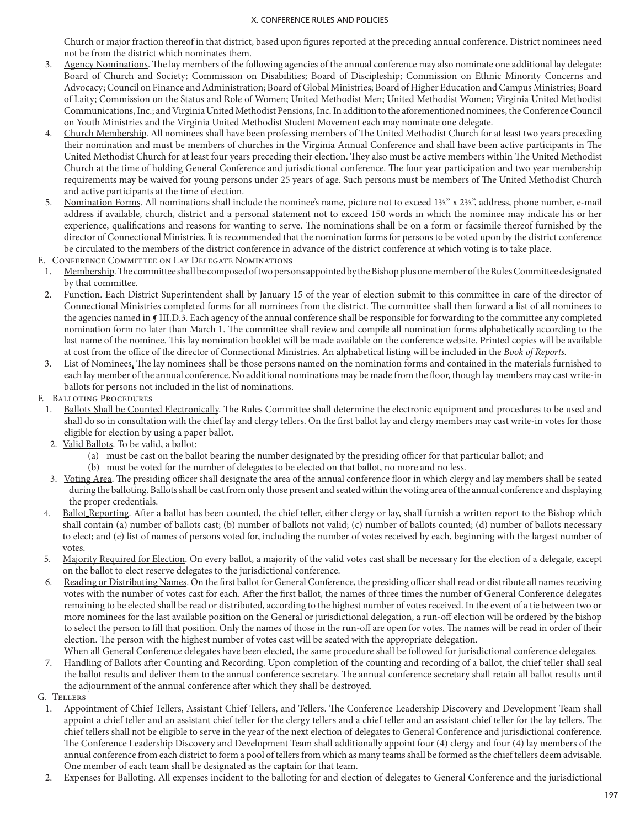Church or major fraction thereof in that district, based upon figures reported at the preceding annual conference. District nominees need not be from the district which nominates them.

- 3. Agency Nominations. The lay members of the following agencies of the annual conference may also nominate one additional lay delegate: Board of Church and Society; Commission on Disabilities; Board of Discipleship; Commission on Ethnic Minority Concerns and Advocacy; Council on Finance and Administration; Board of Global Ministries; Board of Higher Education and Campus Ministries; Board of Laity; Commission on the Status and Role of Women; United Methodist Men; United Methodist Women; Virginia United Methodist Communications, Inc.; and Virginia United Methodist Pensions, Inc. In addition to the aforementioned nominees, the Conference Council on Youth Ministries and the Virginia United Methodist Student Movement each may nominate one delegate.
- 4. Church Membership. All nominees shall have been professing members of The United Methodist Church for at least two years preceding their nomination and must be members of churches in the Virginia Annual Conference and shall have been active participants in The United Methodist Church for at least four years preceding their election. They also must be active members within The United Methodist Church at the time of holding General Conference and jurisdictional conference. The four year participation and two year membership requirements may be waived for young persons under 25 years of age. Such persons must be members of The United Methodist Church and active participants at the time of election.
- 5. Nomination Forms. All nominations shall include the nominee's name, picture not to exceed 1½" x 2½", address, phone number, e-mail address if available, church, district and a personal statement not to exceed 150 words in which the nominee may indicate his or her experience, qualifications and reasons for wanting to serve. The nominations shall be on a form or facsimile thereof furnished by the director of Connectional Ministries. It is recommended that the nomination forms for persons to be voted upon by the district conference be circulated to the members of the district conference in advance of the district conference at which voting is to take place.
- E. Conference Committee on Lay Delegate Nominations
- 1. Membership. The committee shall be composed of two persons appointed by the Bishop plus one member of the Rules Committee designated by that committee.
- 2. Function. Each District Superintendent shall by January 15 of the year of election submit to this committee in care of the director of Connectional Ministries completed forms for all nominees from the district. The committee shall then forward a list of all nominees to the agencies named in ¶ III.D.3. Each agency of the annual conference shall be responsible for forwarding to the committee any completed nomination form no later than March 1. The committee shall review and compile all nomination forms alphabetically according to the last name of the nominee. This lay nomination booklet will be made available on the conference website. Printed copies will be available at cost from the office of the director of Connectional Ministries. An alphabetical listing will be included in the *Book of Reports.*
- 3. List of Nominees. The lay nominees shall be those persons named on the nomination forms and contained in the materials furnished to each lay member of the annual conference. No additional nominations may be made from the floor, though lay members may cast write-in ballots for persons not included in the list of nominations.
- F. Balloting Procedures
	- 1. Ballots Shall be Counted Electronically. The Rules Committee shall determine the electronic equipment and procedures to be used and shall do so in consultation with the chief lay and clergy tellers. On the first ballot lay and clergy members may cast write-in votes for those eligible for election by using a paper ballot.
	- 2. Valid Ballots. To be valid, a ballot:
		- (a) must be cast on the ballot bearing the number designated by the presiding officer for that particular ballot; and
		- (b) must be voted for the number of delegates to be elected on that ballot, no more and no less.
	- 3. Voting Area. The presiding officer shall designate the area of the annual conference floor in which clergy and lay members shall be seated during the balloting. Ballots shall be cast from only those present and seated within the voting area of the annual conference and displaying the proper credentials.
	- 4. Ballot Reporting. After a ballot has been counted, the chief teller, either clergy or lay, shall furnish a written report to the Bishop which shall contain (a) number of ballots cast; (b) number of ballots not valid; (c) number of ballots counted; (d) number of ballots necessary to elect; and (e) list of names of persons voted for, including the number of votes received by each, beginning with the largest number of votes.
	- 5. Majority Required for Election. On every ballot, a majority of the valid votes cast shall be necessary for the election of a delegate, except on the ballot to elect reserve delegates to the jurisdictional conference.
	- 6. Reading or Distributing Names. On the first ballot for General Conference, the presiding officer shall read or distribute all names receiving votes with the number of votes cast for each. After the first ballot, the names of three times the number of General Conference delegates remaining to be elected shall be read or distributed, according to the highest number of votes received. In the event of a tie between two or more nominees for the last available position on the General or jurisdictional delegation, a run-off election will be ordered by the bishop to select the person to fill that position. Only the names of those in the run-off are open for votes. The names will be read in order of their election. The person with the highest number of votes cast will be seated with the appropriate delegation. When all General Conference delegates have been elected, the same procedure shall be followed for jurisdictional conference delegates.
- 7. Handling of Ballots after Counting and Recording. Upon completion of the counting and recording of a ballot, the chief teller shall seal the ballot results and deliver them to the annual conference secretary. The annual conference secretary shall retain all ballot results until the adjournment of the annual conference after which they shall be destroyed.
- G. Tellers
	- 1. Appointment of Chief Tellers, Assistant Chief Tellers, and Tellers. The Conference Leadership Discovery and Development Team shall appoint a chief teller and an assistant chief teller for the clergy tellers and a chief teller and an assistant chief teller for the lay tellers. The chief tellers shall not be eligible to serve in the year of the next election of delegates to General Conference and jurisdictional conference. The Conference Leadership Discovery and Development Team shall additionally appoint four (4) clergy and four (4) lay members of the annual conference from each district to form a pool of tellers from which as many teams shall be formed as the chief tellers deem advisable. One member of each team shall be designated as the captain for that team.
	- 2. Expenses for Balloting. All expenses incident to the balloting for and election of delegates to General Conference and the jurisdictional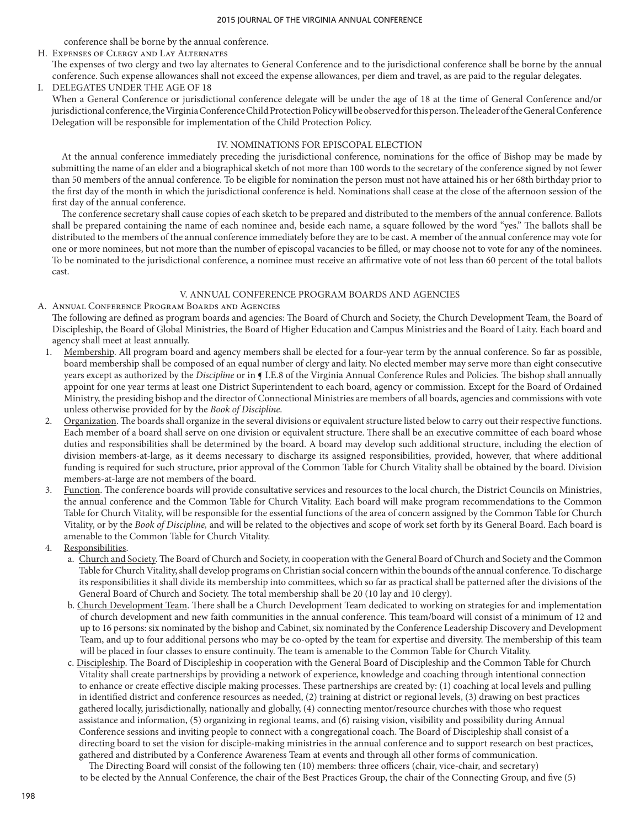conference shall be borne by the annual conference.

H. Expenses of Clergy and Lay Alternates

The expenses of two clergy and two lay alternates to General Conference and to the jurisdictional conference shall be borne by the annual conference. Such expense allowances shall not exceed the expense allowances, per diem and travel, as are paid to the regular delegates.

I. DELEGATES UNDER THE AGE OF 18

When a General Conference or jurisdictional conference delegate will be under the age of 18 at the time of General Conference and/or jurisdictional conference, the Virginia Conference Child Protection Policy will be observed for this person. The leader of the General Conference Delegation will be responsible for implementation of the Child Protection Policy.

### IV. NOMINATIONS FOR EPISCOPAL ELECTION

 At the annual conference immediately preceding the jurisdictional conference, nominations for the office of Bishop may be made by submitting the name of an elder and a biographical sketch of not more than 100 words to the secretary of the conference signed by not fewer than 50 members of the annual conference. To be eligible for nomination the person must not have attained his or her 68th birthday prior to the first day of the month in which the jurisdictional conference is held. Nominations shall cease at the close of the afternoon session of the first day of the annual conference.

 The conference secretary shall cause copies of each sketch to be prepared and distributed to the members of the annual conference. Ballots shall be prepared containing the name of each nominee and, beside each name, a square followed by the word "yes." The ballots shall be distributed to the members of the annual conference immediately before they are to be cast. A member of the annual conference may vote for one or more nominees, but not more than the number of episcopal vacancies to be filled, or may choose not to vote for any of the nominees. To be nominated to the jurisdictional conference, a nominee must receive an affirmative vote of not less than 60 percent of the total ballots cast.

## V. ANNUAL CONFERENCE PROGRAM BOARDS AND AGENCIES

- A. Annual Conference Program Boards and Agencies The following are defined as program boards and agencies: The Board of Church and Society, the Church Development Team, the Board of Discipleship, the Board of Global Ministries, the Board of Higher Education and Campus Ministries and the Board of Laity. Each board and agency shall meet at least annually.
	- 1. Membership. All program board and agency members shall be elected for a four-year term by the annual conference. So far as possible, board membership shall be composed of an equal number of clergy and laity. No elected member may serve more than eight consecutive years except as authorized by the *Discipline* or in ¶ I.E.8 of the Virginia Annual Conference Rules and Policies. The bishop shall annually appoint for one year terms at least one District Superintendent to each board, agency or commission. Except for the Board of Ordained Ministry, the presiding bishop and the director of Connectional Ministries are members of all boards, agencies and commissions with vote unless otherwise provided for by the *Book of Discipline*.
	- 2. Organization. The boards shall organize in the several divisions or equivalent structure listed below to carry out their respective functions. Each member of a board shall serve on one division or equivalent structure. There shall be an executive committee of each board whose duties and responsibilities shall be determined by the board. A board may develop such additional structure, including the election of division members-at-large, as it deems necessary to discharge its assigned responsibilities, provided, however, that where additional funding is required for such structure, prior approval of the Common Table for Church Vitality shall be obtained by the board. Division members-at-large are not members of the board.
	- 3. Function. The conference boards will provide consultative services and resources to the local church, the District Councils on Ministries, the annual conference and the Common Table for Church Vitality. Each board will make program recommendations to the Common Table for Church Vitality, will be responsible for the essential functions of the area of concern assigned by the Common Table for Church Vitality, or by the *Book of Discipline,* and will be related to the objectives and scope of work set forth by its General Board. Each board is amenable to the Common Table for Church Vitality.
	- 4. Responsibilities.
		- a. Church and Society. The Board of Church and Society, in cooperation with the General Board of Church and Society and the Common Table for Church Vitality, shall develop programs on Christian social concern within the bounds of the annual conference. To discharge its responsibilities it shall divide its membership into committees, which so far as practical shall be patterned after the divisions of the General Board of Church and Society. The total membership shall be 20 (10 lay and 10 clergy).
		- b. Church Development Team. There shall be a Church Development Team dedicated to working on strategies for and implementation of church development and new faith communities in the annual conference. This team/board will consist of a minimum of 12 and up to 16 persons: six nominated by the bishop and Cabinet, six nominated by the Conference Leadership Discovery and Development Team, and up to four additional persons who may be co-opted by the team for expertise and diversity. The membership of this team will be placed in four classes to ensure continuity. The team is amenable to the Common Table for Church Vitality.
		- c. Discipleship. The Board of Discipleship in cooperation with the General Board of Discipleship and the Common Table for Church Vitality shall create partnerships by providing a network of experience, knowledge and coaching through intentional connection to enhance or create effective disciple making processes. These partnerships are created by: (1) coaching at local levels and pulling in identified district and conference resources as needed, (2) training at district or regional levels, (3) drawing on best practices gathered locally, jurisdictionally, nationally and globally, (4) connecting mentor/resource churches with those who request assistance and information, (5) organizing in regional teams, and (6) raising vision, visibility and possibility during Annual Conference sessions and inviting people to connect with a congregational coach. The Board of Discipleship shall consist of a directing board to set the vision for disciple-making ministries in the annual conference and to support research on best practices, gathered and distributed by a Conference Awareness Team at events and through all other forms of communication.
			- The Directing Board will consist of the following ten (10) members: three officers (chair, vice-chair, and secretary) to be elected by the Annual Conference, the chair of the Best Practices Group, the chair of the Connecting Group, and five (5)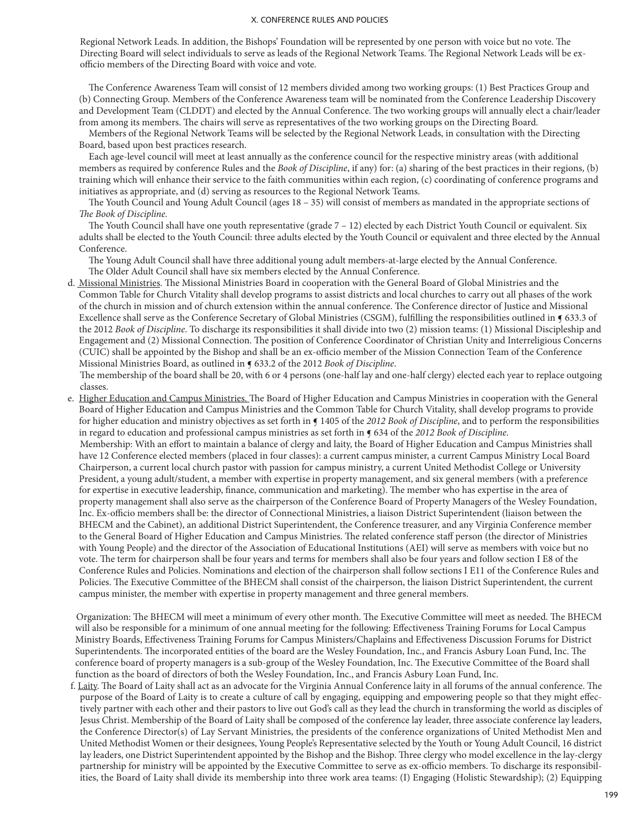Regional Network Leads. In addition, the Bishops' Foundation will be represented by one person with voice but no vote. The Directing Board will select individuals to serve as leads of the Regional Network Teams. The Regional Network Leads will be exofficio members of the Directing Board with voice and vote.

 The Conference Awareness Team will consist of 12 members divided among two working groups: (1) Best Practices Group and (b) Connecting Group. Members of the Conference Awareness team will be nominated from the Conference Leadership Discovery and Development Team (CLDDT) and elected by the Annual Conference. The two working groups will annually elect a chair/leader from among its members. The chairs will serve as representatives of the two working groups on the Directing Board.

 Members of the Regional Network Teams will be selected by the Regional Network Leads, in consultation with the Directing Board, based upon best practices research.

 Each age-level council will meet at least annually as the conference council for the respective ministry areas (with additional members as required by conference Rules and the *Book of Discipline*, if any) for: (a) sharing of the best practices in their regions, (b) training which will enhance their service to the faith communities within each region, (c) coordinating of conference programs and initiatives as appropriate, and (d) serving as resources to the Regional Network Teams.

 The Youth Council and Young Adult Council (ages 18 – 35) will consist of members as mandated in the appropriate sections of *The Book of Discipline.*

 The Youth Council shall have one youth representative (grade 7 – 12) elected by each District Youth Council or equivalent. Six adults shall be elected to the Youth Council: three adults elected by the Youth Council or equivalent and three elected by the Annual Conference.

 The Young Adult Council shall have three additional young adult members-at-large elected by the Annual Conference. The Older Adult Council shall have six members elected by the Annual Conference.

d. Missional Ministries. The Missional Ministries Board in cooperation with the General Board of Global Ministries and the Common Table for Church Vitality shall develop programs to assist districts and local churches to carry out all phases of the work of the church in mission and of church extension within the annual conference. The Conference director of Justice and Missional Excellence shall serve as the Conference Secretary of Global Ministries (CSGM), fulfilling the responsibilities outlined in  $\P$  633.3 of the 2012 *Book of Discipline*. To discharge its responsibilities it shall divide into two (2) mission teams: (1) Missional Discipleship and Engagement and (2) Missional Connection. The position of Conference Coordinator of Christian Unity and Interreligious Concerns (CUIC) shall be appointed by the Bishop and shall be an ex-officio member of the Mission Connection Team of the Conference Missional Ministries Board, as outlined in ¶ 633.2 of the 2012 *Book of Discipline*.

The membership of the board shall be 20, with 6 or 4 persons (one-half lay and one-half clergy) elected each year to replace outgoing classes.

e. Higher Education and Campus Ministries. The Board of Higher Education and Campus Ministries in cooperation with the General Board of Higher Education and Campus Ministries and the Common Table for Church Vitality, shall develop programs to provide for higher education and ministry objectives as set forth in  $\P$  1405 of the *2012 Book of Discipline*, and to perform the responsibilities in regard to education and professional campus ministries as set forth in ¶ 634 of the *2012 Book of Discipline*. Membership: With an effort to maintain a balance of clergy and laity, the Board of Higher Education and Campus Ministries shall have 12 Conference elected members (placed in four classes): a current campus minister, a current Campus Ministry Local Board Chairperson, a current local church pastor with passion for campus ministry, a current United Methodist College or University President, a young adult/student, a member with expertise in property management, and six general members (with a preference for expertise in executive leadership, finance, communication and marketing). The member who has expertise in the area of property management shall also serve as the chairperson of the Conference Board of Property Managers of the Wesley Foundation, Inc. Ex-officio members shall be: the director of Connectional Ministries, a liaison District Superintendent (liaison between the BHECM and the Cabinet), an additional District Superintendent, the Conference treasurer, and any Virginia Conference member to the General Board of Higher Education and Campus Ministries. The related conference staff person (the director of Ministries with Young People) and the director of the Association of Educational Institutions (AEI) will serve as members with voice but no vote. The term for chairperson shall be four years and terms for members shall also be four years and follow section I E8 of the Conference Rules and Policies. Nominations and election of the chairperson shall follow sections I E11 of the Conference Rules and Policies. The Executive Committee of the BHECM shall consist of the chairperson, the liaison District Superintendent, the current campus minister, the member with expertise in property management and three general members.

Organization: The BHECM will meet a minimum of every other month. The Executive Committee will meet as needed. The BHECM will also be responsible for a minimum of one annual meeting for the following: Effectiveness Training Forums for Local Campus Ministry Boards, Effectiveness Training Forums for Campus Ministers/Chaplains and Effectiveness Discussion Forums for District Superintendents. The incorporated entities of the board are the Wesley Foundation, Inc., and Francis Asbury Loan Fund, Inc. The conference board of property managers is a sub-group of the Wesley Foundation, Inc. The Executive Committee of the Board shall function as the board of directors of both the Wesley Foundation, Inc., and Francis Asbury Loan Fund, Inc.

f. Laity. The Board of Laity shall act as an advocate for the Virginia Annual Conference laity in all forums of the annual conference. The purpose of the Board of Laity is to create a culture of call by engaging, equipping and empowering people so that they might effectively partner with each other and their pastors to live out God's call as they lead the church in transforming the world as disciples of Jesus Christ. Membership of the Board of Laity shall be composed of the conference lay leader, three associate conference lay leaders, the Conference Director(s) of Lay Servant Ministries, the presidents of the conference organizations of United Methodist Men and United Methodist Women or their designees, Young People's Representative selected by the Youth or Young Adult Council, 16 district lay leaders, one District Superintendent appointed by the Bishop and the Bishop. Three clergy who model excellence in the lay-clergy partnership for ministry will be appointed by the Executive Committee to serve as ex-officio members. To discharge its responsibilities, the Board of Laity shall divide its membership into three work area teams: (I) Engaging (Holistic Stewardship); (2) Equipping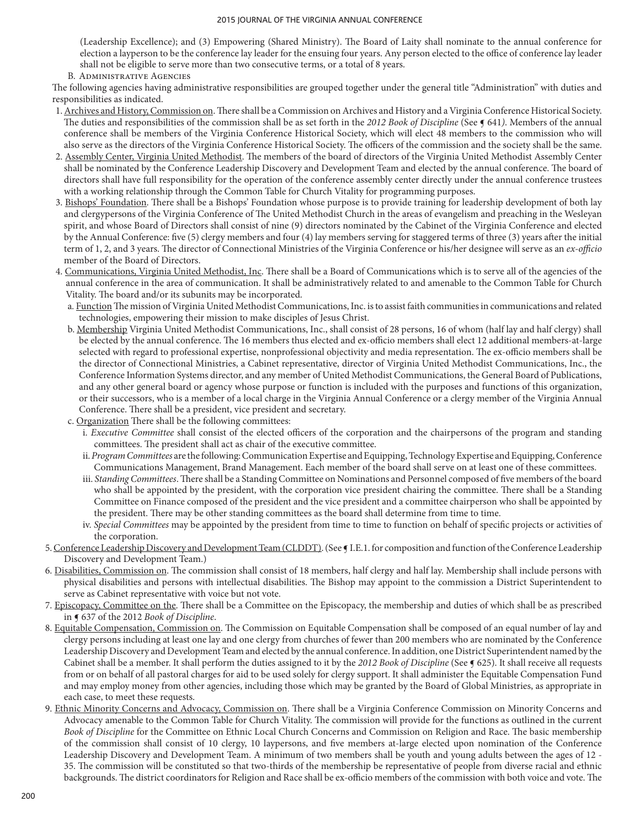(Leadership Excellence); and (3) Empowering (Shared Ministry). The Board of Laity shall nominate to the annual conference for election a layperson to be the conference lay leader for the ensuing four years. Any person elected to the office of conference lay leader shall not be eligible to serve more than two consecutive terms, or a total of 8 years.

B. Administrative Agencies

The following agencies having administrative responsibilities are grouped together under the general title "Administration" with duties and responsibilities as indicated.

- 1. Archives and History, Commission on. There shall be a Commission on Archives and History and a Virginia Conference Historical Society. The duties and responsibilities of the commission shall be as set forth in the *2012 Book of Discipline* (See ¶ 641*)*. Members of the annual conference shall be members of the Virginia Conference Historical Society, which will elect 48 members to the commission who will also serve as the directors of the Virginia Conference Historical Society. The officers of the commission and the society shall be the same.
- 2. Assembly Center, Virginia United Methodist. The members of the board of directors of the Virginia United Methodist Assembly Center shall be nominated by the Conference Leadership Discovery and Development Team and elected by the annual conference. The board of directors shall have full responsibility for the operation of the conference assembly center directly under the annual conference trustees with a working relationship through the Common Table for Church Vitality for programming purposes.
- 3. Bishops' Foundation. There shall be a Bishops' Foundation whose purpose is to provide training for leadership development of both lay and clergypersons of the Virginia Conference of The United Methodist Church in the areas of evangelism and preaching in the Wesleyan spirit, and whose Board of Directors shall consist of nine (9) directors nominated by the Cabinet of the Virginia Conference and elected by the Annual Conference: five (5) clergy members and four (4) lay members serving for staggered terms of three (3) years after the initial term of 1, 2, and 3 years. The director of Connectional Ministries of the Virginia Conference or his/her designee will serve as an *ex-officio* member of the Board of Directors.
- 4. Communications, Virginia United Methodist, Inc. There shall be a Board of Communications which is to serve all of the agencies of the annual conference in the area of communication. It shall be administratively related to and amenable to the Common Table for Church Vitality. The board and/or its subunits may be incorporated.
	- a*.* Function The mission of Virginia United Methodist Communications, Inc. is to assist faith communities in communications and related technologies, empowering their mission to make disciples of Jesus Christ.
	- b. Membership Virginia United Methodist Communications, Inc., shall consist of 28 persons, 16 of whom (half lay and half clergy) shall be elected by the annual conference. The 16 members thus elected and ex-officio members shall elect 12 additional members-at-large selected with regard to professional expertise, nonprofessional objectivity and media representation. The ex-officio members shall be the director of Connectional Ministries, a Cabinet representative, director of Virginia United Methodist Communications, Inc., the Conference Information Systems director, and any member of United Methodist Communications, the General Board of Publications, and any other general board or agency whose purpose or function is included with the purposes and functions of this organization, or their successors, who is a member of a local charge in the Virginia Annual Conference or a clergy member of the Virginia Annual Conference. There shall be a president, vice president and secretary.
	- c. Organization There shall be the following committees:
		- i. *Executive Committee* shall consist of the elected officers of the corporation and the chairpersons of the program and standing committees. The president shall act as chair of the executive committee.
		- ii. *Program Committees* are the following: Communication Expertise and Equipping, Technology Expertise and Equipping, Conference Communications Management, Brand Management. Each member of the board shall serve on at least one of these committees.
		- iii. *Standing Committees*. There shall be a Standing Committee on Nominations and Personnel composed of five members of the board who shall be appointed by the president, with the corporation vice president chairing the committee. There shall be a Standing Committee on Finance composed of the president and the vice president and a committee chairperson who shall be appointed by the president. There may be other standing committees as the board shall determine from time to time.
		- iv. *Special Committees* may be appointed by the president from time to time to function on behalf of specific projects or activities of the corporation.
- 5. Conference Leadership Discovery and Development Team (CLDDT). (See § I.E.1. for composition and function of the Conference Leadership Discovery and Development Team.)
- 6. Disabilities, Commission on. The commission shall consist of 18 members, half clergy and half lay. Membership shall include persons with physical disabilities and persons with intellectual disabilities. The Bishop may appoint to the commission a District Superintendent to serve as Cabinet representative with voice but not vote.
- 7. Episcopacy, Committee on the. There shall be a Committee on the Episcopacy, the membership and duties of which shall be as prescribed in ¶ 637 of the 2012 *Book of Discipline*.
- 8. Equitable Compensation, Commission on. The Commission on Equitable Compensation shall be composed of an equal number of lay and clergy persons including at least one lay and one clergy from churches of fewer than 200 members who are nominated by the Conference Leadership Discovery and Development Team and elected by the annual conference. In addition, one District Superintendent named by the Cabinet shall be a member. It shall perform the duties assigned to it by the 2012 Book of Discipline (See  $\epsilon$  625). It shall receive all requests from or on behalf of all pastoral charges for aid to be used solely for clergy support. It shall administer the Equitable Compensation Fund and may employ money from other agencies, including those which may be granted by the Board of Global Ministries, as appropriate in each case, to meet these requests.
- 9. Ethnic Minority Concerns and Advocacy, Commission on. There shall be a Virginia Conference Commission on Minority Concerns and Advocacy amenable to the Common Table for Church Vitality. The commission will provide for the functions as outlined in the current *Book of Discipline* for the Committee on Ethnic Local Church Concerns and Commission on Religion and Race. The basic membership of the commission shall consist of 10 clergy, 10 laypersons, and five members at-large elected upon nomination of the Conference Leadership Discovery and Development Team. A minimum of two members shall be youth and young adults between the ages of 12 - 35. The commission will be constituted so that two-thirds of the membership be representative of people from diverse racial and ethnic backgrounds. The district coordinators for Religion and Race shall be ex-officio members of the commission with both voice and vote. The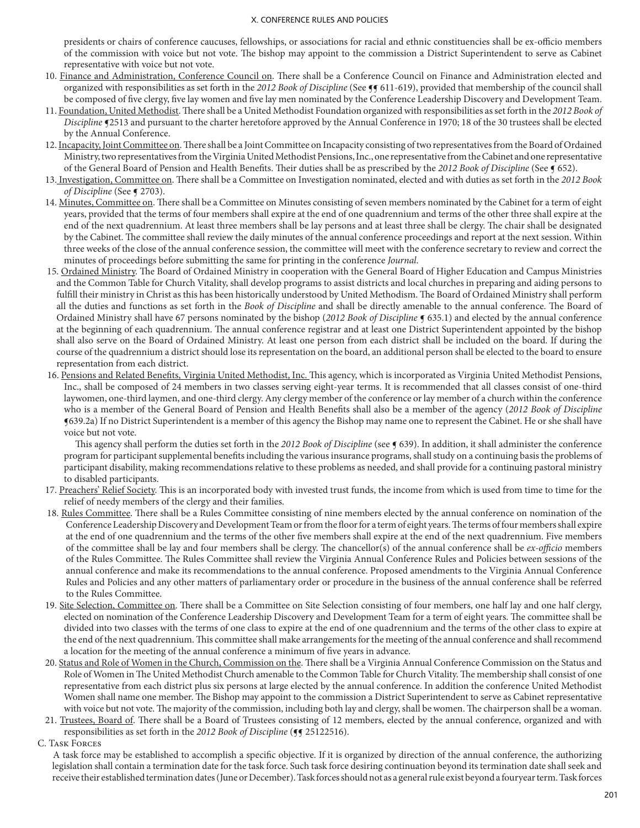presidents or chairs of conference caucuses, fellowships, or associations for racial and ethnic constituencies shall be ex-officio members of the commission with voice but not vote. The bishop may appoint to the commission a District Superintendent to serve as Cabinet representative with voice but not vote.

- 10. Finance and Administration, Conference Council on. There shall be a Conference Council on Finance and Administration elected and organized with responsibilities as set forth in the 2012 Book of Discipline (See **¶** 611-619), provided that membership of the council shall be composed of five clergy, five lay women and five lay men nominated by the Conference Leadership Discovery and Development Team.
- 11. Foundation, United Methodist. There shall be a United Methodist Foundation organized with responsibilities as set forth in the *2012 Book of Discipline* ¶2513 and pursuant to the charter heretofore approved by the Annual Conference in 1970; 18 of the 30 trustees shall be elected by the Annual Conference.
- 12. Incapacity, Joint Committee on. There shall be a Joint Committee on Incapacity consisting of two representatives from the Board of Ordained Ministry, two representatives from the Virginia United Methodist Pensions, Inc., one representative from the Cabinet and one representative of the General Board of Pension and Health Benefits. Their duties shall be as prescribed by the *2012 Book of Discipline* (See ¶ 652).
- 13. Investigation, Committee on. There shall be a Committee on Investigation nominated, elected and with duties as set forth in the *2012 Book of Discipline* (See ¶ 2703).
- 14. Minutes, Committee on. There shall be a Committee on Minutes consisting of seven members nominated by the Cabinet for a term of eight years, provided that the terms of four members shall expire at the end of one quadrennium and terms of the other three shall expire at the end of the next quadrennium. At least three members shall be lay persons and at least three shall be clergy. The chair shall be designated by the Cabinet. The committee shall review the daily minutes of the annual conference proceedings and report at the next session. Within three weeks of the close of the annual conference session, the committee will meet with the conference secretary to review and correct the minutes of proceedings before submitting the same for printing in the conference *Journal*.
- 15. Ordained Ministry. The Board of Ordained Ministry in cooperation with the General Board of Higher Education and Campus Ministries and the Common Table for Church Vitality, shall develop programs to assist districts and local churches in preparing and aiding persons to fulfill their ministry in Christ as this has been historically understood by United Methodism. The Board of Ordained Ministry shall perform all the duties and functions as set forth in the *Book of Discipline* and shall be directly amenable to the annual conference. The Board of Ordained Ministry shall have 67 persons nominated by the bishop (*2012 Book of Discipline* ¶ 635.1) and elected by the annual conference at the beginning of each quadrennium. The annual conference registrar and at least one District Superintendent appointed by the bishop shall also serve on the Board of Ordained Ministry. At least one person from each district shall be included on the board. If during the course of the quadrennium a district should lose its representation on the board, an additional person shall be elected to the board to ensure representation from each district.
- 16. Pensions and Related Benefits, Virginia United Methodist, Inc. This agency, which is incorporated as Virginia United Methodist Pensions, Inc., shall be composed of 24 members in two classes serving eight-year terms. It is recommended that all classes consist of one-third laywomen, one-third laymen, and one-third clergy. Any clergy member of the conference or lay member of a church within the conference who is a member of the General Board of Pension and Health Benefits shall also be a member of the agency (*2012 Book of Discipline* ¶639.2a) If no District Superintendent is a member of this agency the Bishop may name one to represent the Cabinet. He or she shall have voice but not vote.

This agency shall perform the duties set forth in the 2012 Book of Discipline (see  $\P$  639). In addition, it shall administer the conference program for participant supplemental benefits including the various insurance programs, shall study on a continuing basis the problems of participant disability, making recommendations relative to these problems as needed, and shall provide for a continuing pastoral ministry to disabled participants.

- 17. Preachers' Relief Society. This is an incorporated body with invested trust funds, the income from which is used from time to time for the relief of needy members of the clergy and their families.
- 18. Rules Committee. There shall be a Rules Committee consisting of nine members elected by the annual conference on nomination of the Conference Leadership Discovery and Development Team or from the floor for a term of eight years. The terms of four members shall expire at the end of one quadrennium and the terms of the other five members shall expire at the end of the next quadrennium. Five members of the committee shall be lay and four members shall be clergy. The chancellor(s) of the annual conference shall be *ex-officio* members of the Rules Committee. The Rules Committee shall review the Virginia Annual Conference Rules and Policies between sessions of the annual conference and make its recommendations to the annual conference. Proposed amendments to the Virginia Annual Conference Rules and Policies and any other matters of parliamentary order or procedure in the business of the annual conference shall be referred to the Rules Committee.
- 19. Site Selection, Committee on. There shall be a Committee on Site Selection consisting of four members, one half lay and one half clergy, elected on nomination of the Conference Leadership Discovery and Development Team for a term of eight years. The committee shall be divided into two classes with the terms of one class to expire at the end of one quadrennium and the terms of the other class to expire at the end of the next quadrennium. This committee shall make arrangements for the meeting of the annual conference and shall recommend a location for the meeting of the annual conference a minimum of five years in advance.
- 20. Status and Role of Women in the Church, Commission on the. There shall be a Virginia Annual Conference Commission on the Status and Role of Women in The United Methodist Church amenable to the Common Table for Church Vitality. The membership shall consist of one representative from each district plus six persons at large elected by the annual conference. In addition the conference United Methodist Women shall name one member. The Bishop may appoint to the commission a District Superintendent to serve as Cabinet representative with voice but not vote. The majority of the commission, including both lay and clergy, shall be women. The chairperson shall be a woman.
- 21. Trustees, Board of. There shall be a Board of Trustees consisting of 12 members, elected by the annual conference, organized and with responsibilities as set forth in the 2012 Book of Discipline ( $\P$ [ 25122516).
- C. Task Forces

A task force may be established to accomplish a specific objective. If it is organized by direction of the annual conference, the authorizing legislation shall contain a termination date for the task force. Such task force desiring continuation beyond its termination date shall seek and receive their established termination dates (June or December). Task forces should not as a general rule exist beyond a fouryear term. Task forces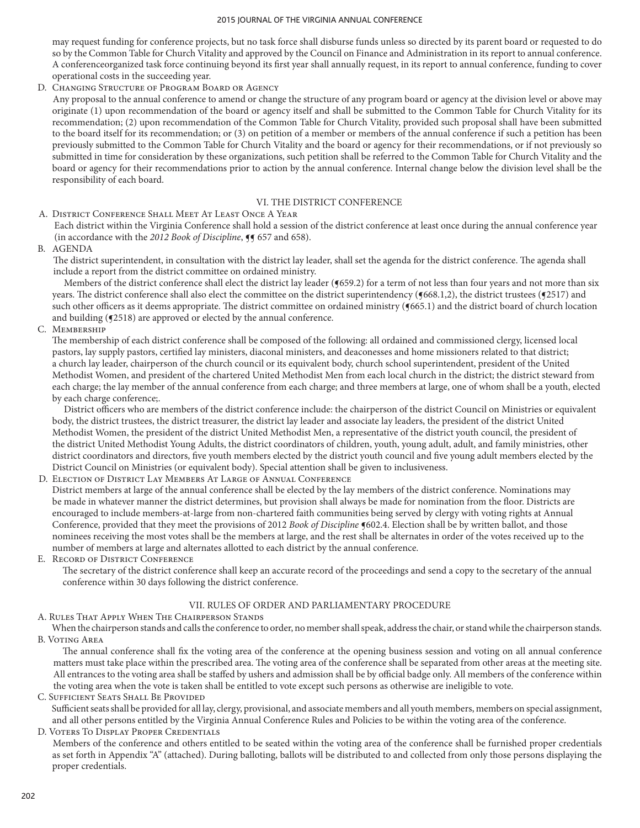may request funding for conference projects, but no task force shall disburse funds unless so directed by its parent board or requested to do so by the Common Table for Church Vitality and approved by the Council on Finance and Administration in its report to annual conference. A conferenceorganized task force continuing beyond its first year shall annually request, in its report to annual conference, funding to cover operational costs in the succeeding year.

D. Changing Structure of Program Board or Agency

Any proposal to the annual conference to amend or change the structure of any program board or agency at the division level or above may originate (1) upon recommendation of the board or agency itself and shall be submitted to the Common Table for Church Vitality for its recommendation; (2) upon recommendation of the Common Table for Church Vitality, provided such proposal shall have been submitted to the board itself for its recommendation; or (3) on petition of a member or members of the annual conference if such a petition has been previously submitted to the Common Table for Church Vitality and the board or agency for their recommendations, or if not previously so submitted in time for consideration by these organizations, such petition shall be referred to the Common Table for Church Vitality and the board or agency for their recommendations prior to action by the annual conference. Internal change below the division level shall be the responsibility of each board.

# VI. THE DISTRICT CONFERENCE

## A. District Conference Shall Meet At Least Once A Year

Each district within the Virginia Conference shall hold a session of the district conference at least once during the annual conference year (in accordance with the 2012 Book of Discipline,  $\P$  657 and 658).

B. AGENDA

The district superintendent, in consultation with the district lay leader, shall set the agenda for the district conference. The agenda shall include a report from the district committee on ordained ministry.

Members of the district conference shall elect the district lay leader (¶659.2) for a term of not less than four years and not more than six years. The district conference shall also elect the committee on the district superintendency ( $(668.1,2)$ , the district trustees ( $(2517)$  and such other officers as it deems appropriate. The district committee on ordained ministry ( $(665.1)$ ) and the district board of church location and building ( $\sqrt{2518}$ ) are approved or elected by the annual conference.

C. Membership

The membership of each district conference shall be composed of the following: all ordained and commissioned clergy, licensed local pastors, lay supply pastors, certified lay ministers, diaconal ministers, and deaconesses and home missioners related to that district; a church lay leader, chairperson of the church council or its equivalent body, church school superintendent, president of the United Methodist Women, and president of the chartered United Methodist Men from each local church in the district; the district steward from each charge; the lay member of the annual conference from each charge; and three members at large, one of whom shall be a youth, elected by each charge conference;.

District officers who are members of the district conference include: the chairperson of the district Council on Ministries or equivalent body, the district trustees, the district treasurer, the district lay leader and associate lay leaders, the president of the district United Methodist Women, the president of the district United Methodist Men, a representative of the district youth council, the president of the district United Methodist Young Adults, the district coordinators of children, youth, young adult, adult, and family ministries, other district coordinators and directors, five youth members elected by the district youth council and five young adult members elected by the District Council on Ministries (or equivalent body). Special attention shall be given to inclusiveness.

D. Election of District Lay Members At Large of Annual Conference

District members at large of the annual conference shall be elected by the lay members of the district conference. Nominations may be made in whatever manner the district determines, but provision shall always be made for nomination from the floor. Districts are encouraged to include members-at-large from non-chartered faith communities being served by clergy with voting rights at Annual Conference, provided that they meet the provisions of 2012 *Book of Discipline* ¶602.4. Election shall be by written ballot, and those nominees receiving the most votes shall be the members at large, and the rest shall be alternates in order of the votes received up to the number of members at large and alternates allotted to each district by the annual conference.

E. Record of District Conference

The secretary of the district conference shall keep an accurate record of the proceedings and send a copy to the secretary of the annual conference within 30 days following the district conference.

# VII. RULES OF ORDER AND PARLIAMENTARY PROCEDURE

A. Rules That Apply When The Chairperson Stands

When the chairperson stands and calls the conference to order, no member shall speak, address the chair, or stand while the chairperson stands. B. Voting Area

The annual conference shall fix the voting area of the conference at the opening business session and voting on all annual conference matters must take place within the prescribed area. The voting area of the conference shall be separated from other areas at the meeting site. All entrances to the voting area shall be staffed by ushers and admission shall be by official badge only. All members of the conference within the voting area when the vote is taken shall be entitled to vote except such persons as otherwise are ineligible to vote.

C. Sufficient Seats Shall Be Provided Sufficient seats shall be provided for all lay, clergy, provisional, and associate members and all youth members, members on special assignment, and all other persons entitled by the Virginia Annual Conference Rules and Policies to be within the voting area of the conference. D. Voters To Display Proper Credentials

Members of the conference and others entitled to be seated within the voting area of the conference shall be furnished proper credentials as set forth in Appendix "A" (attached). During balloting, ballots will be distributed to and collected from only those persons displaying the proper credentials.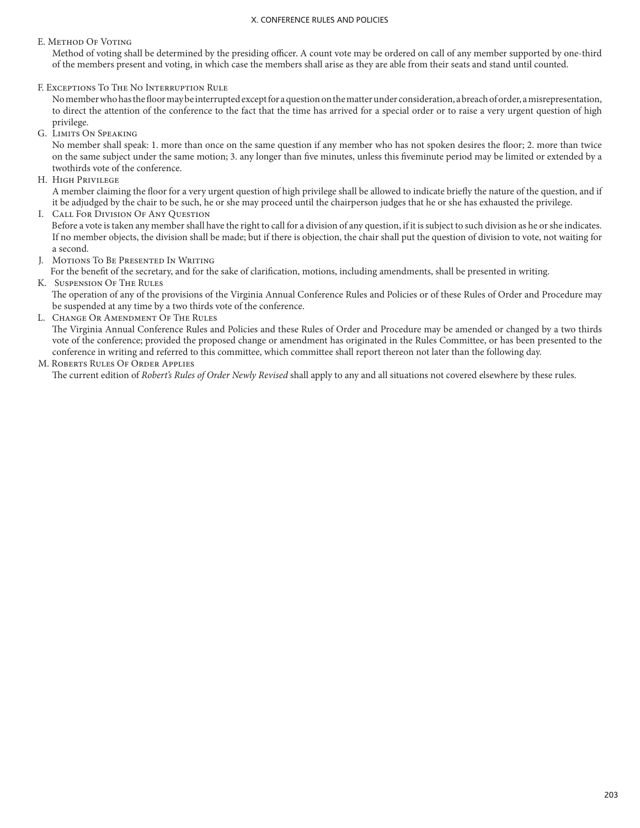## E. Method Of Voting

Method of voting shall be determined by the presiding officer. A count vote may be ordered on call of any member supported by one-third of the members present and voting, in which case the members shall arise as they are able from their seats and stand until counted.

F. Exceptions To The No Interruption Rule

No member who has the floor may be interrupted except for a question on the matter under consideration, a breach of order, a misrepresentation, to direct the attention of the conference to the fact that the time has arrived for a special order or to raise a very urgent question of high privilege.

G. Limits On Speaking

No member shall speak: 1. more than once on the same question if any member who has not spoken desires the floor; 2. more than twice on the same subject under the same motion; 3. any longer than five minutes, unless this fiveminute period may be limited or extended by a twothirds vote of the conference.

H. High Privilege

A member claiming the floor for a very urgent question of high privilege shall be allowed to indicate briefly the nature of the question, and if it be adjudged by the chair to be such, he or she may proceed until the chairperson judges that he or she has exhausted the privilege.

I. Call For Division Of Any Question

Before a vote is taken any member shall have the right to call for a division of any question, if it is subject to such division as he or she indicates. If no member objects, the division shall be made; but if there is objection, the chair shall put the question of division to vote, not waiting for a second.

J. Motions To Be Presented In Writing

For the benefit of the secretary, and for the sake of clarification, motions, including amendments, shall be presented in writing. K. Suspension Of The Rules

The operation of any of the provisions of the Virginia Annual Conference Rules and Policies or of these Rules of Order and Procedure may be suspended at any time by a two thirds vote of the conference.

L. Change Or Amendment Of The Rules

The Virginia Annual Conference Rules and Policies and these Rules of Order and Procedure may be amended or changed by a two thirds vote of the conference; provided the proposed change or amendment has originated in the Rules Committee, or has been presented to the conference in writing and referred to this committee, which committee shall report thereon not later than the following day.

## M. Roberts Rules Of Order Applies

The current edition of *Robert's Rules of Order Newly Revised* shall apply to any and all situations not covered elsewhere by these rules.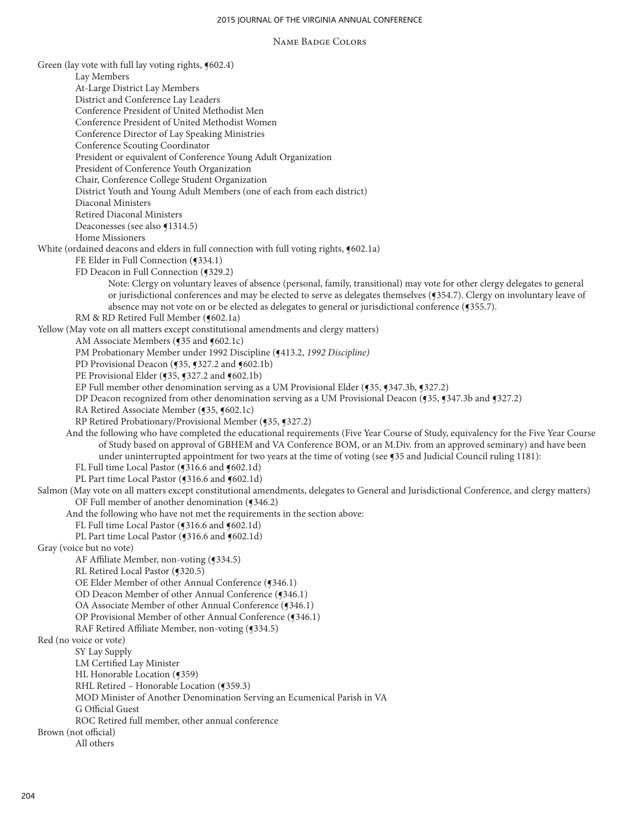### Name Badge Colors

Green (lay vote with full lay voting rights,  $\P$ 602.4) Lay Members At-Large District Lay Members District and Conference Lay Leaders Conference President of United Methodist Men Conference President of United Methodist Women Conference Director of Lay Speaking Ministries Conference Scouting Coordinator President or equivalent of Conference Young Adult Organization President of Conference Youth Organization Chair, Conference College Student Organization District Youth and Young Adult Members (one of each from each district) Diaconal Ministers Retired Diaconal Ministers Deaconesses (see also  $\P$ 1314.5) Home Missioners White (ordained deacons and elders in full connection with full voting rights,  $\P$ 602.1a) FE Elder in Full Connection (¶334.1) FD Deacon in Full Connection (¶329.2) Note: Clergy on voluntary leaves of absence (personal, family, transitional) may vote for other clergy delegates to general or jurisdictional conferences and may be elected to serve as delegates themselves (¶354.7). Clergy on involuntary leave of absence may not vote on or be elected as delegates to general or jurisdictional conference (¶355.7). RM & RD Retired Full Member (¶602.1a) Yellow (May vote on all matters except constitutional amendments and clergy matters) AM Associate Members (¶35 and ¶602.1c) PM Probationary Member under 1992 Discipline (¶413.2, *1992 Discipline)* PD Provisional Deacon (¶35, ¶327.2 and ¶602.1b) PE Provisional Elder (¶35, ¶327.2 and ¶602.1b) EP Full member other denomination serving as a UM Provisional Elder (¶35, ¶347.3b, ¶327.2) DP Deacon recognized from other denomination serving as a UM Provisional Deacon (¶35, ¶347.3b and ¶327.2) RA Retired Associate Member (¶35, ¶602.1c) RP Retired Probationary/Provisional Member (¶35, ¶327.2) And the following who have completed the educational requirements (Five Year Course of Study, equivalency for the Five Year Course of Study based on approval of GBHEM and VA Conference BOM, or an M.Div. from an approved seminary) and have been under uninterrupted appointment for two years at the time of voting (see ¶35 and Judicial Council ruling 1181): FL Full time Local Pastor (¶316.6 and ¶602.1d) PL Part time Local Pastor (¶316.6 and ¶602.1d) Salmon (May vote on all matters except constitutional amendments, delegates to General and Jurisdictional Conference, and clergy matters) OF Full member of another denomination (¶346.2) And the following who have not met the requirements in the section above: FL Full time Local Pastor (¶316.6 and ¶602.1d) PL Part time Local Pastor (¶316.6 and ¶602.1d) Gray (voice but no vote) AF Affiliate Member, non-voting (¶334.5) RL Retired Local Pastor (¶320.5) OE Elder Member of other Annual Conference (¶346.1) OD Deacon Member of other Annual Conference (¶346.1) OA Associate Member of other Annual Conference (¶346.1) OP Provisional Member of other Annual Conference (¶346.1) RAF Retired Affiliate Member, non-voting (¶334.5) Red (no voice or vote) SY Lay Supply LM Certified Lay Minister HL Honorable Location (¶359) RHL Retired – Honorable Location (¶359.3) MOD Minister of Another Denomination Serving an Ecumenical Parish in VA G Official Guest ROC Retired full member, other annual conference Brown (not official) All others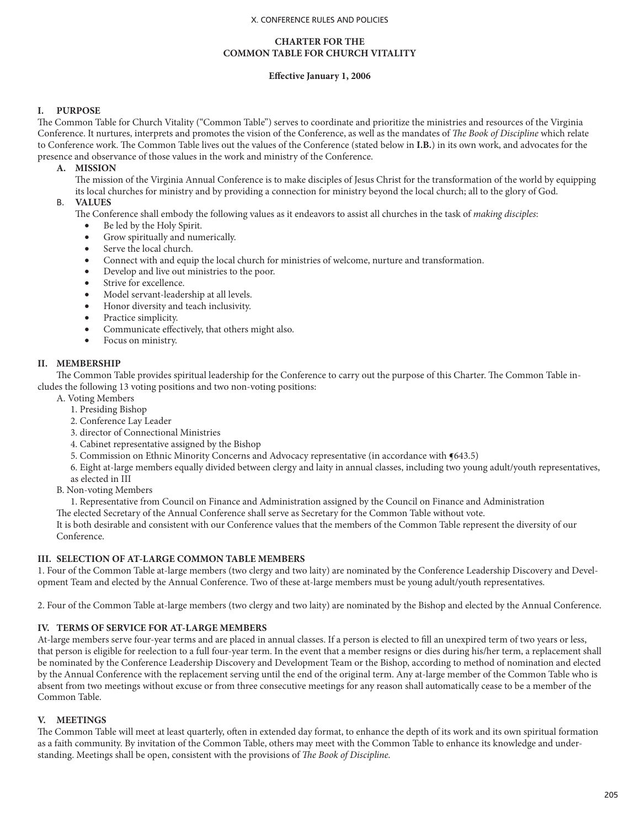## **CHARTER FOR THE COMMON TABLE FOR CHURCH VITALITY**

# **Effective January 1, 2006**

# **I. PURPOSE**

The Common Table for Church Vitality ("Common Table") serves to coordinate and prioritize the ministries and resources of the Virginia Conference. It nurtures, interprets and promotes the vision of the Conference, as well as the mandates of *The Book of Discipline* which relate to Conference work. The Common Table lives out the values of the Conference (stated below in **I.B.**) in its own work, and advocates for the presence and observance of those values in the work and ministry of the Conference.

## **A. MISSION**

The mission of the Virginia Annual Conference is to make disciples of Jesus Christ for the transformation of the world by equipping its local churches for ministry and by providing a connection for ministry beyond the local church; all to the glory of God.

## B. **VALUES**

The Conference shall embody the following values as it endeavors to assist all churches in the task of *making disciples*:

- Be led by the Holy Spirit.
	- Grow spiritually and numerically.
- Serve the local church.
- Connect with and equip the local church for ministries of welcome, nurture and transformation.
- Develop and live out ministries to the poor.
- Strive for excellence.
- Model servant-leadership at all levels.
- Honor diversity and teach inclusivity.
- Practice simplicity.
- Communicate effectively, that others might also.
- • Focus on ministry.

## **II. MEMBERSHIP**

The Common Table provides spiritual leadership for the Conference to carry out the purpose of this Charter. The Common Table includes the following 13 voting positions and two non-voting positions:

- A. Voting Members
	- 1. Presiding Bishop
	- 2. Conference Lay Leader
	- 3. director of Connectional Ministries
	- 4. Cabinet representative assigned by the Bishop
	- 5. Commission on Ethnic Minority Concerns and Advocacy representative (in accordance with  $\P643.5$ )
	- 6. Eight at-large members equally divided between clergy and laity in annual classes, including two young adult/youth representatives,
	- as elected in III
- B. Non-voting Members

1. Representative from Council on Finance and Administration assigned by the Council on Finance and Administration

The elected Secretary of the Annual Conference shall serve as Secretary for the Common Table without vote.

It is both desirable and consistent with our Conference values that the members of the Common Table represent the diversity of our Conference.

## **III. SELECTION OF AT-LARGE COMMON TABLE MEMBERS**

1. Four of the Common Table at-large members (two clergy and two laity) are nominated by the Conference Leadership Discovery and Development Team and elected by the Annual Conference. Two of these at-large members must be young adult/youth representatives.

2. Four of the Common Table at-large members (two clergy and two laity) are nominated by the Bishop and elected by the Annual Conference.

# **IV. TERMS OF SERVICE FOR AT-LARGE MEMBERS**

At-large members serve four-year terms and are placed in annual classes. If a person is elected to fill an unexpired term of two years or less, that person is eligible for reelection to a full four-year term. In the event that a member resigns or dies during his/her term, a replacement shall be nominated by the Conference Leadership Discovery and Development Team or the Bishop, according to method of nomination and elected by the Annual Conference with the replacement serving until the end of the original term. Any at-large member of the Common Table who is absent from two meetings without excuse or from three consecutive meetings for any reason shall automatically cease to be a member of the Common Table.

# **V. MEETINGS**

The Common Table will meet at least quarterly, often in extended day format, to enhance the depth of its work and its own spiritual formation as a faith community. By invitation of the Common Table, others may meet with the Common Table to enhance its knowledge and understanding. Meetings shall be open, consistent with the provisions of *The Book of Discipline.*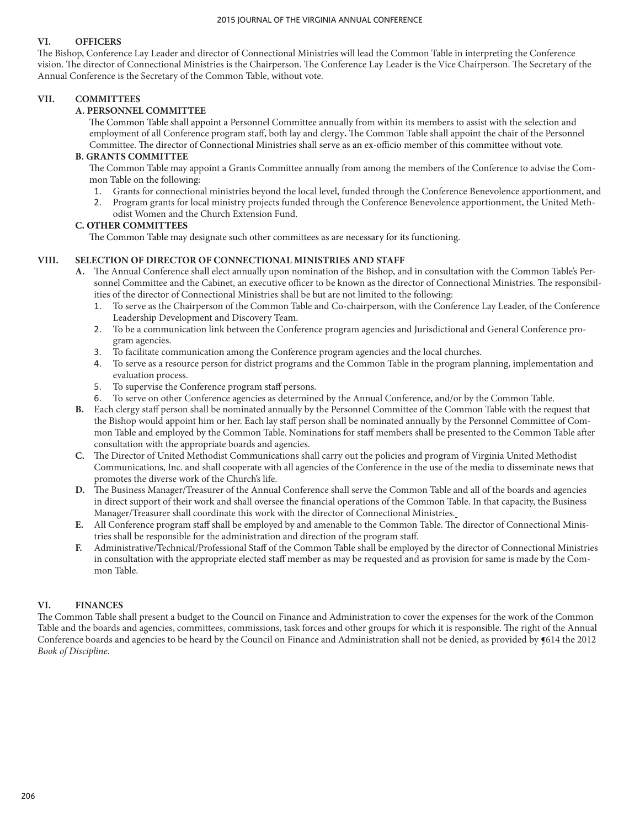# **VI. OFFICERS**

The Bishop, Conference Lay Leader and director of Connectional Ministries will lead the Common Table in interpreting the Conference vision. The director of Connectional Ministries is the Chairperson. The Conference Lay Leader is the Vice Chairperson. The Secretary of the Annual Conference is the Secretary of the Common Table, without vote.

## **VII. COMMITTEES**

## **A. PERSONNEL COMMITTEE**

The Common Table shall appoint a Personnel Committee annually from within its members to assist with the selection and employment of all Conference program staff, both lay and clergy**.** The Common Table shall appoint the chair of the Personnel Committee. The director of Connectional Ministries shall serve as an ex-officio member of this committee without vote.

## **B. GRANTS COMMITTEE**

The Common Table may appoint a Grants Committee annually from among the members of the Conference to advise the Common Table on the following:

- 1. Grants for connectional ministries beyond the local level, funded through the Conference Benevolence apportionment, and
- 2. Program grants for local ministry projects funded through the Conference Benevolence apportionment, the United Methodist Women and the Church Extension Fund.

## **C. OTHER COMMITTEES**

The Common Table may designate such other committees as are necessary for its functioning.

## **VIII. SELECTION OF DIRECTOR OF CONNECTIONAL MINISTRIES AND STAFF**

- **A.** The Annual Conference shall elect annually upon nomination of the Bishop, and in consultation with the Common Table's Personnel Committee and the Cabinet, an executive officer to be known as the director of Connectional Ministries. The responsibilities of the director of Connectional Ministries shall be but are not limited to the following:
	- 1. To serve as the Chairperson of the Common Table and Co-chairperson, with the Conference Lay Leader, of the Conference Leadership Development and Discovery Team.
	- 2. To be a communication link between the Conference program agencies and Jurisdictional and General Conference program agencies.
	- 3. To facilitate communication among the Conference program agencies and the local churches.
	- 4. To serve as a resource person for district programs and the Common Table in the program planning, implementation and evaluation process.
	- 5. To supervise the Conference program staff persons.
	- 6. To serve on other Conference agencies as determined by the Annual Conference, and/or by the Common Table.
- **B.** Each clergy staff person shall be nominated annually by the Personnel Committee of the Common Table with the request that the Bishop would appoint him or her. Each lay staff person shall be nominated annually by the Personnel Committee of Common Table and employed by the Common Table. Nominations for staff members shall be presented to the Common Table after consultation with the appropriate boards and agencies.
- **C.** The Director of United Methodist Communications shall carry out the policies and program of Virginia United Methodist Communications, Inc. and shall cooperate with all agencies of the Conference in the use of the media to disseminate news that promotes the diverse work of the Church's life.
- **D.** The Business Manager/Treasurer of the Annual Conference shall serve the Common Table and all of the boards and agencies in direct support of their work and shall oversee the financial operations of the Common Table. In that capacity, the Business Manager/Treasurer shall coordinate this work with the director of Connectional Ministries.
- **E.** All Conference program staff shall be employed by and amenable to the Common Table. The director of Connectional Ministries shall be responsible for the administration and direction of the program staff.
- **F.** Administrative/Technical/Professional Staff of the Common Table shall be employed by the director of Connectional Ministries in consultation with the appropriate elected staff member as may be requested and as provision for same is made by the Common Table.

# **VI. FINANCES**

The Common Table shall present a budget to the Council on Finance and Administration to cover the expenses for the work of the Common Table and the boards and agencies, committees, commissions, task forces and other groups for which it is responsible. The right of the Annual Conference boards and agencies to be heard by the Council on Finance and Administration shall not be denied, as provided by ¶614 the 2012 *Book of Discipline*.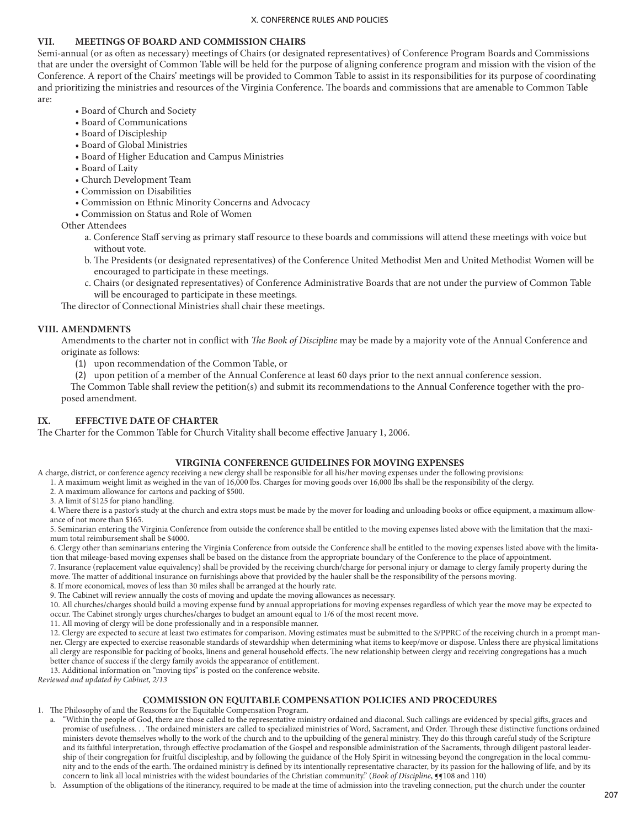## **VII. MEETINGS OF BOARD AND COMMISSION CHAIRS**

Semi-annual (or as often as necessary) meetings of Chairs (or designated representatives) of Conference Program Boards and Commissions that are under the oversight of Common Table will be held for the purpose of aligning conference program and mission with the vision of the Conference. A report of the Chairs' meetings will be provided to Common Table to assist in its responsibilities for its purpose of coordinating and prioritizing the ministries and resources of the Virginia Conference. The boards and commissions that are amenable to Common Table are:

- Board of Church and Society
- Board of Communications
- Board of Discipleship
- Board of Global Ministries
- Board of Higher Education and Campus Ministries
- Board of Laity
- Church Development Team
- Commission on Disabilities
- Commission on Ethnic Minority Concerns and Advocacy
- Commission on Status and Role of Women

Other Attendees

- a. Conference Staff serving as primary staff resource to these boards and commissions will attend these meetings with voice but without vote.
- b. The Presidents (or designated representatives) of the Conference United Methodist Men and United Methodist Women will be encouraged to participate in these meetings.
- c. Chairs (or designated representatives) of Conference Administrative Boards that are not under the purview of Common Table will be encouraged to participate in these meetings.

The director of Connectional Ministries shall chair these meetings.

## **VIII. AMENDMENTS**

Amendments to the charter not in conflict with *The Book of Discipline* may be made by a majority vote of the Annual Conference and originate as follows:

- (1) upon recommendation of the Common Table, or
- (2) upon petition of a member of the Annual Conference at least 60 days prior to the next annual conference session.

The Common Table shall review the petition(s) and submit its recommendations to the Annual Conference together with the proposed amendment.

# **IX. EFFECTIVE DATE OF CHARTER**

The Charter for the Common Table for Church Vitality shall become effective January 1, 2006.

## **VIRGINIA CONFERENCE GUIDELINES FOR MOVING EXPENSES**

A charge, district, or conference agency receiving a new clergy shall be responsible for all his/her moving expenses under the following provisions:

- 1. A maximum weight limit as weighed in the van of 16,000 lbs. Charges for moving goods over 16,000 lbs shall be the responsibility of the clergy.
- 2. A maximum allowance for cartons and packing of \$500.
- 3. A limit of \$125 for piano handling.

4. Where there is a pastor's study at the church and extra stops must be made by the mover for loading and unloading books or office equipment, a maximum allowance of not more than \$165.

5. Seminarian entering the Virginia Conference from outside the conference shall be entitled to the moving expenses listed above with the limitation that the maximum total reimbursement shall be \$4000.

6. Clergy other than seminarians entering the Virginia Conference from outside the Conference shall be entitled to the moving expenses listed above with the limitation that mileage-based moving expenses shall be based on the distance from the appropriate boundary of the Conference to the place of appointment.

7. Insurance (replacement value equivalency) shall be provided by the receiving church/charge for personal injury or damage to clergy family property during the move. The matter of additional insurance on furnishings above that provided by the hauler shall be the responsibility of the persons moving.

8. If more economical, moves of less than 30 miles shall be arranged at the hourly rate.

9. The Cabinet will review annually the costs of moving and update the moving allowances as necessary.

10. All churches/charges should build a moving expense fund by annual appropriations for moving expenses regardless of which year the move may be expected to occur. The Cabinet strongly urges churches/charges to budget an amount equal to 1/6 of the most recent move.

11. All moving of clergy will be done professionally and in a responsible manner.

12. Clergy are expected to secure at least two estimates for comparison. Moving estimates must be submitted to the S/PPRC of the receiving church in a prompt manner. Clergy are expected to exercise reasonable standards of stewardship when determining what items to keep/move or dispose. Unless there are physical limitations all clergy are responsible for packing of books, linens and general household effects. The new relationship between clergy and receiving congregations has a much

better chance of success if the clergy family avoids the appearance of entitlement. 13. Additional information on "moving tips" is posted on the conference website.

*Reviewed and updated by Cabinet, 2/13*

## **COMMISSION ON EQUITABLE COMPENSATION POLICIES AND PROCEDURES**

1. The Philosophy of and the Reasons for the Equitable Compensation Program.

- a. "Within the people of God, there are those called to the representative ministry ordained and diaconal. Such callings are evidenced by special gifts, graces and promise of usefulness. . . The ordained ministers are called to specialized ministries of Word, Sacrament, and Order. Through these distinctive functions ordained ministers devote themselves wholly to the work of the church and to the upbuilding of the general ministry. They do this through careful study of the Scripture and its faithful interpretation, through effective proclamation of the Gospel and responsible administration of the Sacraments, through diligent pastoral leadership of their congregation for fruitful discipleship, and by following the guidance of the Holy Spirit in witnessing beyond the congregation in the local community and to the ends of the earth. The ordained ministry is defined by its intentionally representative character, by its passion for the hallowing of life, and by its concern to link all local ministries with the widest boundaries of the Christian community." (*Book of Discipline*, **¶**¶108 and 110)
- b. Assumption of the obligations of the itinerancy, required to be made at the time of admission into the traveling connection, put the church under the counter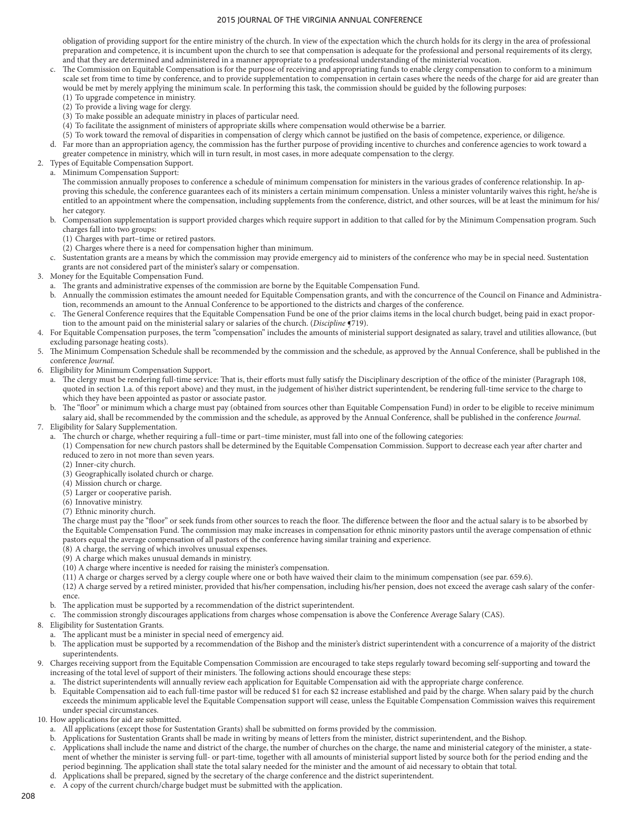obligation of providing support for the entire ministry of the church. In view of the expectation which the church holds for its clergy in the area of professional preparation and competence, it is incumbent upon the church to see that compensation is adequate for the professional and personal requirements of its clergy, and that they are determined and administered in a manner appropriate to a professional understanding of the ministerial vocation.

- c. The Commission on Equitable Compensation is for the purpose of receiving and appropriating funds to enable clergy compensation to conform to a minimum scale set from time to time by conference, and to provide supplementation to compensation in certain cases where the needs of the charge for aid are greater than would be met by merely applying the minimum scale. In performing this task, the commission should be guided by the following purposes: (1) To upgrade competence in ministry.
	- (2) To provide a living wage for clergy.
	- (3) To make possible an adequate ministry in places of particular need.
	- (4) To facilitate the assignment of ministers of appropriate skills where compensation would otherwise be a barrier.
	- (5) To work toward the removal of disparities in compensation of clergy which cannot be justified on the basis of competence, experience, or diligence.
- d. Far more than an appropriation agency, the commission has the further purpose of providing incentive to churches and conference agencies to work toward a greater competence in ministry, which will in turn result, in most cases, in more adequate compensation to the clergy.
- 2. Types of Equitable Compensation Support.
	- a. Minimum Compensation Support:

The commission annually proposes to conference a schedule of minimum compensation for ministers in the various grades of conference relationship. In approving this schedule, the conference guarantees each of its ministers a certain minimum compensation. Unless a minister voluntarily waives this right, he/she is entitled to an appointment where the compensation, including supplements from the conference, district, and other sources, will be at least the minimum for his/ her category.

- b. Compensation supplementation is support provided charges which require support in addition to that called for by the Minimum Compensation program. Such charges fall into two groups:
	- (1) Charges with part–time or retired pastors.
	- (2) Charges where there is a need for compensation higher than minimum.
- c. Sustentation grants are a means by which the commission may provide emergency aid to ministers of the conference who may be in special need. Sustentation grants are not considered part of the minister's salary or compensation.
- 3. Money for the Equitable Compensation Fund.
	- a. The grants and administrative expenses of the commission are borne by the Equitable Compensation Fund.
	- b. Annually the commission estimates the amount needed for Equitable Compensation grants, and with the concurrence of the Council on Finance and Administration, recommends an amount to the Annual Conference to be apportioned to the districts and charges of the conference.
	- The General Conference requires that the Equitable Compensation Fund be one of the prior claims items in the local church budget, being paid in exact proportion to the amount paid on the ministerial salary or salaries of the church. (*Discipline* ¶719).
- 4. For Equitable Compensation purposes, the term "compensation" includes the amounts of ministerial support designated as salary, travel and utilities allowance, (but excluding parsonage heating costs).
- 5. The Minimum Compensation Schedule shall be recommended by the commission and the schedule, as approved by the Annual Conference, shall be published in the conference *Journal.*
- 6. Eligibility for Minimum Compensation Support.
	- a. The clergy must be rendering full-time service: That is, their efforts must fully satisfy the Disciplinary description of the office of the minister (Paragraph 108, quoted in section 1.a. of this report above) and they must, in the judgement of his\her district superintendent, be rendering full-time service to the charge to which they have been appointed as pastor or associate pastor.
	- b. The "floor" or minimum which a charge must pay (obtained from sources other than Equitable Compensation Fund) in order to be eligible to receive minimum salary aid, shall be recommended by the commission and the schedule, as approved by the Annual Conference, shall be published in the conference *Journal*.
- 7. Eligibility for Salary Supplementation.
	- a. The church or charge, whether requiring a full–time or part–time minister, must fall into one of the following categories:

(1) Compensation for new church pastors shall be determined by the Equitable Compensation Commission. Support to decrease each year after charter and reduced to zero in not more than seven years.

- (2) Inner-city church.
- (3) Geographically isolated church or charge.
- (4) Mission church or charge.
- (5) Larger or cooperative parish.
- (6) Innovative ministry.
- (7) Ethnic minority church.

The charge must pay the "floor" or seek funds from other sources to reach the floor. The difference between the floor and the actual salary is to be absorbed by the Equitable Compensation Fund. The commission may make increases in compensation for ethnic minority pastors until the average compensation of ethnic pastors equal the average compensation of all pastors of the conference having similar training and experience.

- (8) A charge, the serving of which involves unusual expenses.
- (9) A charge which makes unusual demands in ministry.
- (10) A charge where incentive is needed for raising the minister's compensation.
- (11) A charge or charges served by a clergy couple where one or both have waived their claim to the minimum compensation (see par. 659.6).

(12) A charge served by a retired minister, provided that his/her compensation, including his/her pension, does not exceed the average cash salary of the conference.

- b. The application must be supported by a recommendation of the district superintendent.
- c. The commission strongly discourages applications from charges whose compensation is above the Conference Average Salary (CAS).
- 8. Eligibility for Sustentation Grants.
	- a. The applicant must be a minister in special need of emergency aid.
	- b. The application must be supported by a recommendation of the Bishop and the minister's district superintendent with a concurrence of a majority of the district superintendents.
- 9. Charges receiving support from the Equitable Compensation Commission are encouraged to take steps regularly toward becoming self-supporting and toward the increasing of the total level of support of their ministers. The following actions should encourage these steps:
	- a. The district superintendents will annually review each application for Equitable Compensation aid with the appropriate charge conference.
	- b. Equitable Compensation aid to each full-time pastor will be reduced \$1 for each \$2 increase established and paid by the charge. When salary paid by the church exceeds the minimum applicable level the Equitable Compensation support will cease, unless the Equitable Compensation Commission waives this requirement under special circumstances.
- 10. How applications for aid are submitted.
	- a. All applications (except those for Sustentation Grants) shall be submitted on forms provided by the commission.
	- b. Applications for Sustentation Grants shall be made in writing by means of letters from the minister, district superintendent, and the Bishop.
	- c. Applications shall include the name and district of the charge, the number of churches on the charge, the name and ministerial category of the minister, a statement of whether the minister is serving full- or part-time, together with all amounts of ministerial support listed by source both for the period ending and the period beginning. The application shall state the total salary needed for the minister and the amount of aid necessary to obtain that total.
	- d. Applications shall be prepared, signed by the secretary of the charge conference and the district superintendent.
	- A copy of the current church/charge budget must be submitted with the application.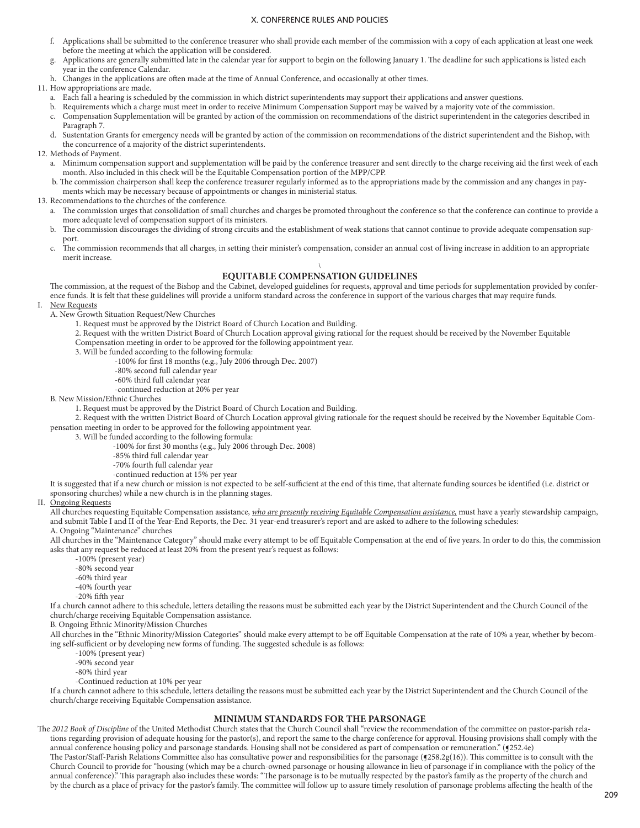- f. Applications shall be submitted to the conference treasurer who shall provide each member of the commission with a copy of each application at least one week before the meeting at which the application will be considered.
- g. Applications are generally submitted late in the calendar year for support to begin on the following January 1. The deadline for such applications is listed each year in the conference Calendar.
- h. Changes in the applications are often made at the time of Annual Conference, and occasionally at other times.

11. How appropriations are made.

- a. Each fall a hearing is scheduled by the commission in which district superintendents may support their applications and answer questions.
- b. Requirements which a charge must meet in order to receive Minimum Compensation Support may be waived by a majority vote of the commission.
- c. Compensation Supplementation will be granted by action of the commission on recommendations of the district superintendent in the categories described in Paragraph 7.
- d. Sustentation Grants for emergency needs will be granted by action of the commission on recommendations of the district superintendent and the Bishop, with the concurrence of a majority of the district superintendents.
- 12. Methods of Payment.
	- a. Minimum compensation support and supplementation will be paid by the conference treasurer and sent directly to the charge receiving aid the first week of each month. Also included in this check will be the Equitable Compensation portion of the MPP/CPP.
	- b. The commission chairperson shall keep the conference treasurer regularly informed as to the appropriations made by the commission and any changes in payments which may be necessary because of appointments or changes in ministerial status.
- 13. Recommendations to the churches of the conference.
	- a. The commission urges that consolidation of small churches and charges be promoted throughout the conference so that the conference can continue to provide a more adequate level of compensation support of its ministers.
	- b. The commission discourages the dividing of strong circuits and the establishment of weak stations that cannot continue to provide adequate compensation support.
	- c. The commission recommends that all charges, in setting their minister's compensation, consider an annual cost of living increase in addition to an appropriate merit increase.

#### \ **EQUITABLE COMPENSATION GUIDELINES**

The commission, at the request of the Bishop and the Cabinet, developed guidelines for requests, approval and time periods for supplementation provided by conference funds. It is felt that these guidelines will provide a uniform standard across the conference in support of the various charges that may require funds. I. New Requests

A. New Growth Situation Request/New Churches

1. Request must be approved by the District Board of Church Location and Building.

- 2. Request with the written District Board of Church Location approval giving rational for the request should be received by the November Equitable
- Compensation meeting in order to be approved for the following appointment year.
- 3. Will be funded according to the following formula: -100% for first 18 months (e.g., July 2006 through Dec. 2007)
	-
	- -80% second full calendar year -60% third full calendar year
		- -continued reduction at 20% per year
- B. New Mission/Ethnic Churches

1. Request must be approved by the District Board of Church Location and Building.

 2. Request with the written District Board of Church Location approval giving rationale for the request should be received by the November Equitable Compensation meeting in order to be approved for the following appointment year.

- 3. Will be funded according to the following formula:
	- -100% for first 30 months (e.g., July 2006 through Dec. 2008)
	- -85% third full calendar year
	- -70% fourth full calendar year
	- -continued reduction at 15% per year

It is suggested that if a new church or mission is not expected to be self-sufficient at the end of this time, that alternate funding sources be identified (i.e. district or sponsoring churches) while a new church is in the planning stages.

#### **Ongoing Requests**

All churches requesting Equitable Compensation assistance, *who are presently receiving Equitable Compensation assistance,* must have a yearly stewardship campaign, and submit Table I and II of the Year-End Reports, the Dec. 31 year-end treasurer's report and are asked to adhere to the following schedules: A. Ongoing "Maintenance" churches

All churches in the "Maintenance Category" should make every attempt to be off Equitable Compensation at the end of five years. In order to do this, the commission asks that any request be reduced at least 20% from the present year's request as follows:

- -100% (present year)
- -80% second year
- -60% third year
- -40% fourth year
- -20% fifth year

If a church cannot adhere to this schedule, letters detailing the reasons must be submitted each year by the District Superintendent and the Church Council of the church/charge receiving Equitable Compensation assistance.

B. Ongoing Ethnic Minority/Mission Churches

All churches in the "Ethnic Minority/Mission Categories" should make every attempt to be off Equitable Compensation at the rate of 10% a year, whether by becoming self-sufficient or by developing new forms of funding. The suggested schedule is as follows:

-100% (present year)

-90% second year

-80% third year

-Continued reduction at 10% per year

If a church cannot adhere to this schedule, letters detailing the reasons must be submitted each year by the District Superintendent and the Church Council of the church/charge receiving Equitable Compensation assistance.

## **MINIMUM STANDARDS FOR THE PARSONAGE**

The 2012 Book of Discipline of the United Methodist Church states that the Church Council shall "review the recommendation of the committee on pastor-parish relations regarding provision of adequate housing for the pastor(s), and report the same to the charge conference for approval. Housing provisions shall comply with the annual conference housing policy and parsonage standards. Housing shall not be considered as part of compensation or remuneration." (§252.4e) The Pastor/Staff-Parish Relations Committee also has consultative power and responsibilities for the parsonage (§258.2g(16)). This committee is to consult with the Church Council to provide for "housing (which may be a church-owned parsonage or housing allowance in lieu of parsonage if in compliance with the policy of the annual conference)." This paragraph also includes these words: "The parsonage is to be mutually respected by the pastor's family as the property of the church and by the church as a place of privacy for the pastor's family. The committee will follow up to assure timely resolution of parsonage problems affecting the health of the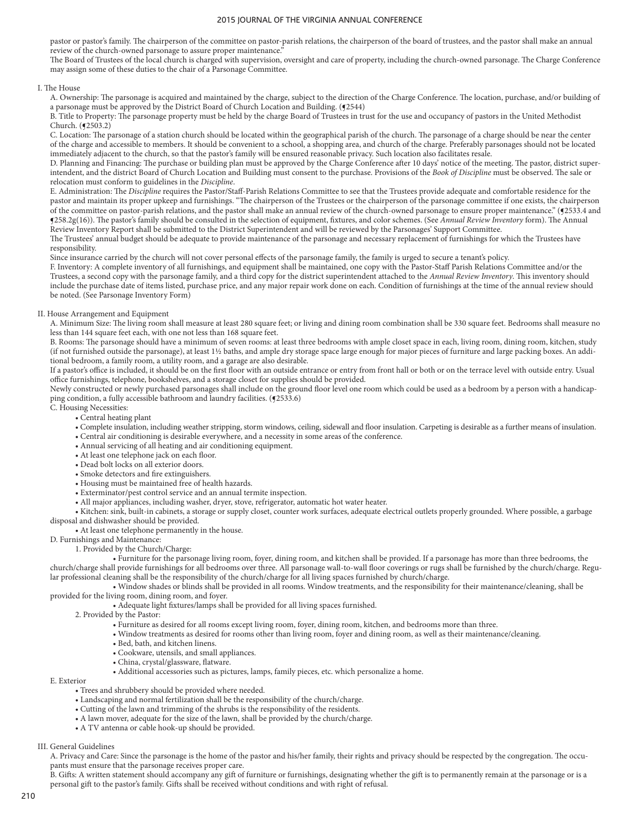pastor or pastor's family. The chairperson of the committee on pastor-parish relations, the chairperson of the board of trustees, and the pastor shall make an annual review of the church-owned parsonage to assure proper maintenance."

The Board of Trustees of the local church is charged with supervision, oversight and care of property, including the church-owned parsonage. The Charge Conference may assign some of these duties to the chair of a Parsonage Committee.

#### I. The House

A. Ownership: The parsonage is acquired and maintained by the charge, subject to the direction of the Charge Conference. The location, purchase, and/or building of a parsonage must be approved by the District Board of Church Location and Building. (§2544)

B. Title to Property: The parsonage property must be held by the charge Board of Trustees in trust for the use and occupancy of pastors in the United Methodist Church. (¶2503.2)

C. Location: The parsonage of a station church should be located within the geographical parish of the church. The parsonage of a charge should be near the center of the charge and accessible to members. It should be convenient to a school, a shopping area, and church of the charge. Preferably parsonages should not be located immediately adjacent to the church, so that the pastor's family will be ensured reasonable privacy. Such location also facilitates resale.

D. Planning and Financing: The purchase or building plan must be approved by the Charge Conference after 10 days' notice of the meeting. The pastor, district superintendent, and the district Board of Church Location and Building must consent to the purchase. Provisions of the *Book of Discipline* must be observed. The sale or relocation must conform to guidelines in the *Discipline*.

E. Administration: The *Discipline* requires the Pastor/Staff-Parish Relations Committee to see that the Trustees provide adequate and comfortable residence for the pastor and maintain its proper upkeep and furnishings. "The chairperson of the Trustees or the chairperson of the parsonage committee if one exists, the chairperson of the committee on pastor-parish relations, and the pastor shall make an annual review of the church-owned parsonage to ensure proper maintenance." (§2533.4 and ¶258.2g(16)). The pastor's family should be consulted in the selection of equipment, fixtures, and color schemes. (See *Annual Review Inventory* form). The Annual Review Inventory Report shall be submitted to the District Superintendent and will be reviewed by the Parsonages' Support Committee.

The Trustees' annual budget should be adequate to provide maintenance of the parsonage and necessary replacement of furnishings for which the Trustees have responsibility.

Since insurance carried by the church will not cover personal effects of the parsonage family, the family is urged to secure a tenant's policy.

F. Inventory: A complete inventory of all furnishings, and equipment shall be maintained, one copy with the Pastor-Staff Parish Relations Committee and/or the Trustees, a second copy with the parsonage family, and a third copy for the district superintendent attached to the *Annual Review Inventory*. This inventory should include the purchase date of items listed, purchase price, and any major repair work done on each. Condition of furnishings at the time of the annual review should be noted. (See Parsonage Inventory Form)

#### II. House Arrangement and Equipment

A. Minimum Size: The living room shall measure at least 280 square feet; or living and dining room combination shall be 330 square feet. Bedrooms shall measure no less than 144 square feet each, with one not less than 168 square feet.

B. Rooms: The parsonage should have a minimum of seven rooms: at least three bedrooms with ample closet space in each, living room, dining room, kitchen, study (if not furnished outside the parsonage), at least 1½ baths, and ample dry storage space large enough for major pieces of furniture and large packing boxes. An additional bedroom, a family room, a utility room, and a garage are also desirable.

If a pastor's office is included, it should be on the first floor with an outside entrance or entry from front hall or both or on the terrace level with outside entry. Usual office furnishings, telephone, bookshelves, and a storage closet for supplies should be provided.

Newly constructed or newly purchased parsonages shall include on the ground floor level one room which could be used as a bedroom by a person with a handicapping condition, a fully accessible bathroom and laundry facilities. (§2533.6)

C. Housing Necessities:

- Central heating plant
- Complete insulation, including weather stripping, storm windows, ceiling, sidewall and floor insulation. Carpeting is desirable as a further means of insulation.
- Central air conditioning is desirable everywhere, and a necessity in some areas of the conference.
- Annual servicing of all heating and air conditioning equipment.
- At least one telephone jack on each floor.
- Dead bolt locks on all exterior doors.
- Smoke detectors and fire extinguishers.
- Housing must be maintained free of health hazards.
- Exterminator/pest control service and an annual termite inspection.
- All major appliances, including washer, dryer, stove, refrigerator, automatic hot water heater.
- Kitchen: sink, built-in cabinets, a storage or supply closet, counter work surfaces, adequate electrical outlets properly grounded. Where possible, a garbage
- disposal and dishwasher should be provided.

#### • At least one telephone permanently in the house.

D. Furnishings and Maintenance:

1. Provided by the Church/Charge:

 • Furniture for the parsonage living room, foyer, dining room, and kitchen shall be provided. If a parsonage has more than three bedrooms, the church/charge shall provide furnishings for all bedrooms over three. All parsonage wall-to-wall floor coverings or rugs shall be furnished by the church/charge. Regular professional cleaning shall be the responsibility of the church/charge for all living spaces furnished by church/charge.

 • Window shades or blinds shall be provided in all rooms. Window treatments, and the responsibility for their maintenance/cleaning, shall be provided for the living room, dining room, and foyer.

- 2. Provided by the Pastor:
	- Furniture as desired for all rooms except living room, foyer, dining room, kitchen, and bedrooms more than three.
	- Window treatments as desired for rooms other than living room, foyer and dining room, as well as their maintenance/cleaning.
	- Bed, bath, and kitchen linens.
	- Cookware, utensils, and small appliances.
	- China, crystal/glassware, flatware.
	- Additional accessories such as pictures, lamps, family pieces, etc. which personalize a home.

E. Exterior

• Trees and shrubbery should be provided where needed.

- Landscaping and normal fertilization shall be the responsibility of the church/charge.
- Cutting of the lawn and trimming of the shrubs is the responsibility of the residents.
- A lawn mover, adequate for the size of the lawn, shall be provided by the church/charge.
- A TV antenna or cable hook-up should be provided.

III. General Guidelines

A. Privacy and Care: Since the parsonage is the home of the pastor and his/her family, their rights and privacy should be respected by the congregation. The occupants must ensure that the parsonage receives proper care.

B. Gifts: A written statement should accompany any gift of furniture or furnishings, designating whether the gift is to permanently remain at the parsonage or is a personal gift to the pastor's family. Gifts shall be received without conditions and with right of refusal.

• Adequate light fixtures/lamps shall be provided for all living spaces furnished.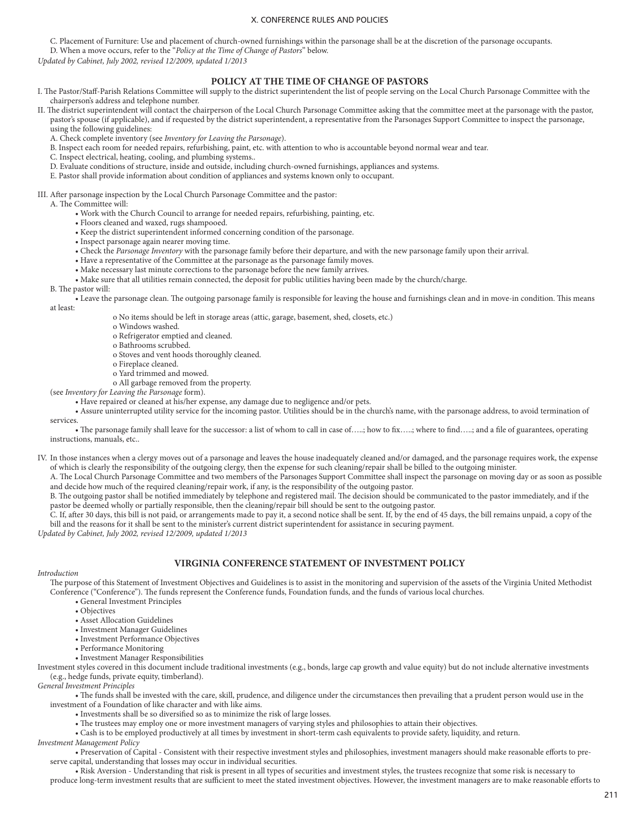C. Placement of Furniture: Use and placement of church-owned furnishings within the parsonage shall be at the discretion of the parsonage occupants.

D. When a move occurs, refer to the "*Policy at the Time of Change of Pastors*" below.

*Updated by Cabinet, July 2002, revised 12/2009, updated 1/2013*

## **POLICY AT THE TIME OF CHANGE OF PASTORS**

- I. The Pastor/Staff-Parish Relations Committee will supply to the district superintendent the list of people serving on the Local Church Parsonage Committee with the chairperson's address and telephone number.
- II. The district superintendent will contact the chairperson of the Local Church Parsonage Committee asking that the committee meet at the parsonage with the pastor, pastor's spouse (if applicable), and if requested by the district superintendent, a representative from the Parsonages Support Committee to inspect the parsonage, using the following guidelines:

A. Check complete inventory (see *Inventory for Leaving the Parsonage*).

- B. Inspect each room for needed repairs, refurbishing, paint, etc. with attention to who is accountable beyond normal wear and tear.
- C. Inspect electrical, heating, cooling, and plumbing systems..
- D. Evaluate conditions of structure, inside and outside, including church-owned furnishings, appliances and systems.
- E. Pastor shall provide information about condition of appliances and systems known only to occupant.
- III. After parsonage inspection by the Local Church Parsonage Committee and the pastor:
	- A. The Committee will:
		- Work with the Church Council to arrange for needed repairs, refurbishing, painting, etc.
		- Floors cleaned and waxed, rugs shampooed.
		- Keep the district superintendent informed concerning condition of the parsonage.
		- Inspect parsonage again nearer moving time.
		- Check the *Parsonage Inventory* with the parsonage family before their departure, and with the new parsonage family upon their arrival.
		- Have a representative of the Committee at the parsonage as the parsonage family moves.
		- Make necessary last minute corrections to the parsonage before the new family arrives.
		- Make sure that all utilities remain connected, the deposit for public utilities having been made by the church/charge.

#### B. The pastor will:

 • Leave the parsonage clean. The outgoing parsonage family is responsible for leaving the house and furnishings clean and in move-in condition. This means at least:

- o No items should be left in storage areas (attic, garage, basement, shed, closets, etc.)
- o Windows washed.
- o Refrigerator emptied and cleaned.
- o Bathrooms scrubbed.
- o Stoves and vent hoods thoroughly cleaned.
- o Fireplace cleaned.
- o Yard trimmed and mowed.
- o All garbage removed from the property.
- (see *Inventory for Leaving the Parsonage* form).
	- Have repaired or cleaned at his/her expense, any damage due to negligence and/or pets.

 • Assure uninterrupted utility service for the incoming pastor. Utilities should be in the church's name, with the parsonage address, to avoid termination of services.

 • The parsonage family shall leave for the successor: a list of whom to call in case of…..; how to fix…..; where to find…..; and a file of guarantees, operating instructions, manuals, etc..

- IV. In those instances when a clergy moves out of a parsonage and leaves the house inadequately cleaned and/or damaged, and the parsonage requires work, the expense of which is clearly the responsibility of the outgoing clergy, then the expense for such cleaning/repair shall be billed to the outgoing minister.
	- A. The Local Church Parsonage Committee and two members of the Parsonages Support Committee shall inspect the parsonage on moving day or as soon as possible and decide how much of the required cleaning/repair work, if any, is the responsibility of the outgoing pastor.

B. The outgoing pastor shall be notified immediately by telephone and registered mail. The decision should be communicated to the pastor immediately, and if the pastor be deemed wholly or partially responsible, then the cleaning/repair bill should be sent to the outgoing pastor.

C. If, after 30 days, this bill is not paid, or arrangements made to pay it, a second notice shall be sent. If, by the end of 45 days, the bill remains unpaid, a copy of the bill and the reasons for it shall be sent to the minister's current district superintendent for assistance in securing payment.

*Updated by Cabinet, July 2002, revised 12/2009, updated 1/2013*

#### **VIRGINIA CONFERENCE STATEMENT OF INVESTMENT POLICY**

#### *Introduction*

The purpose of this Statement of Investment Objectives and Guidelines is to assist in the monitoring and supervision of the assets of the Virginia United Methodist Conference ("Conference"). The funds represent the Conference funds, Foundation funds, and the funds of various local churches.

- General Investment Principles
- Objectives
- Asset Allocation Guidelines
- Investment Manager Guidelines
- Investment Performance Objectives
- Performance Monitoring
- Investment Manager Responsibilities

Investment styles covered in this document include traditional investments (e.g., bonds, large cap growth and value equity) but do not include alternative investments (e.g., hedge funds, private equity, timberland).

*General Investment Principles*

 • The funds shall be invested with the care, skill, prudence, and diligence under the circumstances then prevailing that a prudent person would use in the investment of a Foundation of like character and with like aims.

• Investments shall be so diversified so as to minimize the risk of large losses.

• The trustees may employ one or more investment managers of varying styles and philosophies to attain their objectives.

• Cash is to be employed productively at all times by investment in short-term cash equivalents to provide safety, liquidity, and return.

*Investment Management Policy*

 • Preservation of Capital - Consistent with their respective investment styles and philosophies, investment managers should make reasonable efforts to preserve capital, understanding that losses may occur in individual securities.

• Risk Aversion - Understanding that risk is present in all types of securities and investment styles, the trustees recognize that some risk is necessary to

produce long-term investment results that are sufficient to meet the stated investment objectives. However, the investment managers are to make reasonable efforts to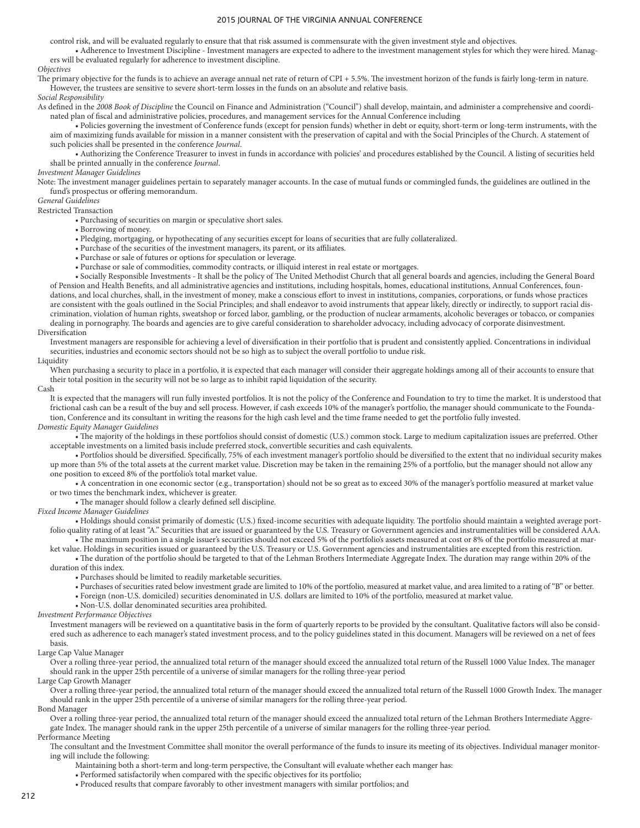control risk, and will be evaluated regularly to ensure that that risk assumed is commensurate with the given investment style and objectives.

 • Adherence to Investment Discipline - Investment managers are expected to adhere to the investment management styles for which they were hired. Managers will be evaluated regularly for adherence to investment discipline.

### *Objectives*

The primary objective for the funds is to achieve an average annual net rate of return of CPI + 5.5%. The investment horizon of the funds is fairly long-term in nature. However, the trustees are sensitive to severe short-term losses in the funds on an absolute and relative basis.

*Social Responsibility*

As defined in the *2008 Book of Discipline* the Council on Finance and Administration ("Council") shall develop, maintain, and administer a comprehensive and coordinated plan of fiscal and administrative policies, procedures, and management services for the Annual Conference including

 • Policies governing the investment of Conference funds (except for pension funds) whether in debt or equity, short-term or long-term instruments, with the aim of maximizing funds available for mission in a manner consistent with the preservation of capital and with the Social Principles of the Church. A statement of such policies shall be presented in the conference *Journal*.

 • Authorizing the Conference Treasurer to invest in funds in accordance with policies' and procedures established by the Council. A listing of securities held shall be printed annually in the conference *Journal*.

#### *Investment Manager Guidelines*

Note: The investment manager guidelines pertain to separately manager accounts. In the case of mutual funds or commingled funds, the guidelines are outlined in the fund's prospectus or offering memorandum.

## *General Guidelines*

Restricted Transaction

• Purchasing of securities on margin or speculative short sales.

- Borrowing of money.
- Pledging, mortgaging, or hypothecating of any securities except for loans of securities that are fully collateralized.
- Purchase of the securities of the investment managers, its parent, or its affiliates.
- Purchase or sale of futures or options for speculation or leverage.
- Purchase or sale of commodities, commodity contracts, or illiquid interest in real estate or mortgages.

 • Socially Responsible Investments - It shall be the policy of The United Methodist Church that all general boards and agencies, including the General Board of Pension and Health Benefits, and all administrative agencies and institutions, including hospitals, homes, educational institutions, Annual Conferences, foundations, and local churches, shall, in the investment of money, make a conscious effort to invest in institutions, companies, corporations, or funds whose practices are consistent with the goals outlined in the Social Principles; and shall endeavor to avoid instruments that appear likely, directly or indirectly, to support racial discrimination, violation of human rights, sweatshop or forced labor, gambling, or the production of nuclear armaments, alcoholic beverages or tobacco, or companies dealing in pornography. The boards and agencies are to give careful consideration to shareholder advocacy, including advocacy of corporate disinvestment. Diversification

Investment managers are responsible for achieving a level of diversification in their portfolio that is prudent and consistently applied. Concentrations in individual securities, industries and economic sectors should not be so high as to subject the overall portfolio to undue risk.

#### Liquidity

When purchasing a security to place in a portfolio, it is expected that each manager will consider their aggregate holdings among all of their accounts to ensure that their total position in the security will not be so large as to inhibit rapid liquidation of the security.

#### Cash

It is expected that the managers will run fully invested portfolios. It is not the policy of the Conference and Foundation to try to time the market. It is understood that frictional cash can be a result of the buy and sell process. However, if cash exceeds 10% of the manager's portfolio, the manager should communicate to the Foundation, Conference and its consultant in writing the reasons for the high cash level and the time frame needed to get the portfolio fully invested.

### *Domestic Equity Manager Guidelines*

 • The majority of the holdings in these portfolios should consist of domestic (U.S.) common stock. Large to medium capitalization issues are preferred. Other acceptable investments on a limited basis include preferred stock, convertible securities and cash equivalents.

 • Portfolios should be diversified. Specifically, 75% of each investment manager's portfolio should be diversified to the extent that no individual security makes up more than 5% of the total assets at the current market value. Discretion may be taken in the remaining 25% of a portfolio, but the manager should not allow any one position to exceed 8% of the portfolio's total market value.

 • A concentration in one economic sector (e.g., transportation) should not be so great as to exceed 30% of the manager's portfolio measured at market value or two times the benchmark index, whichever is greater.

• The manager should follow a clearly defined sell discipline.

*Fixed Income Manager Guidelines*

 • Holdings should consist primarily of domestic (U.S.) fixed-income securities with adequate liquidity. The portfolio should maintain a weighted average portfolio quality rating of at least "A." Securities that are issued or guaranteed by the U.S. Treasury or Government agencies and instrumentalities will be considered AAA. • The maximum position in a single issuer's securities should not exceed 5% of the portfolio's assets measured at cost or 8% of the portfolio measured at mar-

ket value. Holdings in securities issued or guaranteed by the U.S. Treasury or U.S. Government agencies and instrumentalities are excepted from this restriction.

 • The duration of the portfolio should be targeted to that of the Lehman Brothers Intermediate Aggregate Index. The duration may range within 20% of the duration of this index.

• Purchases should be limited to readily marketable securities.

- Purchases of securities rated below investment grade are limited to 10% of the portfolio, measured at market value, and area limited to a rating of "B" or better.
- Foreign (non-U.S. domiciled) securities denominated in U.S. dollars are limited to 10% of the portfolio, measured at market value.
- Non-U.S. dollar denominated securities area prohibited.

*Investment Performance Objectives*

Investment managers will be reviewed on a quantitative basis in the form of quarterly reports to be provided by the consultant. Qualitative factors will also be considered such as adherence to each manager's stated investment process, and to the policy guidelines stated in this document. Managers will be reviewed on a net of fees basis.

Large Cap Value Manager

Over a rolling three-year period, the annualized total return of the manager should exceed the annualized total return of the Russell 1000 Value Index. The manager should rank in the upper 25th percentile of a universe of similar managers for the rolling three-year period Large Cap Growth Manager

Over a rolling three-year period, the annualized total return of the manager should exceed the annualized total return of the Russell 1000 Growth Index. The manager should rank in the upper 25th percentile of a universe of similar managers for the rolling three-year period.

Bond Manager

Over a rolling three-year period, the annualized total return of the manager should exceed the annualized total return of the Lehman Brothers Intermediate Aggregate Index. The manager should rank in the upper 25th percentile of a universe of similar managers for the rolling three-year period.

Performance Meeting

The consultant and the Investment Committee shall monitor the overall performance of the funds to insure its meeting of its objectives. Individual manager monitoring will include the following:

Maintaining both a short-term and long-term perspective, the Consultant will evaluate whether each manger has:

- Performed satisfactorily when compared with the specific objectives for its portfolio;
- Produced results that compare favorably to other investment managers with similar portfolios; and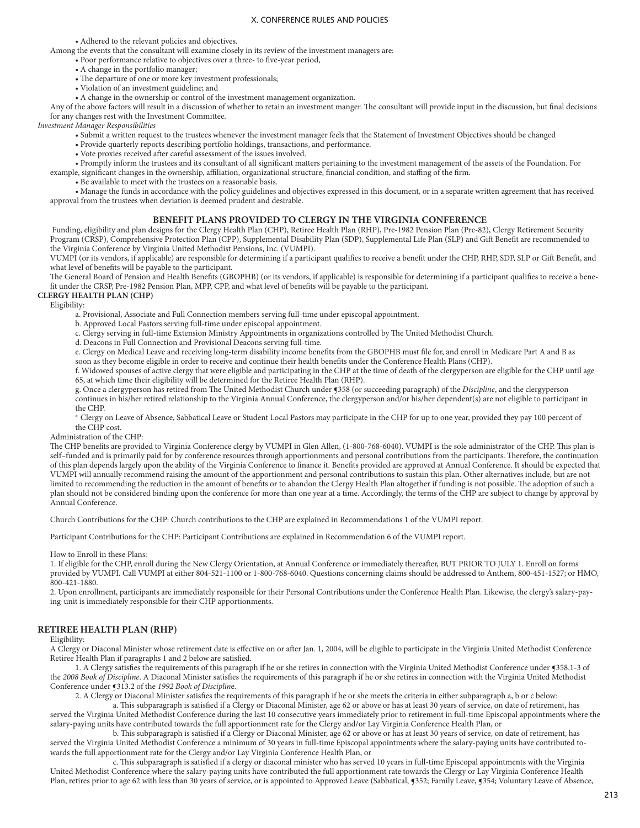• Adhered to the relevant policies and objectives.

Among the events that the consultant will examine closely in its review of the investment managers are:

• Poor performance relative to objectives over a three- to five-year period,

- A change in the portfolio manager;
- The departure of one or more key investment professionals;
- Violation of an investment guideline; and
- A change in the ownership or control of the investment management organization.

Any of the above factors will result in a discussion of whether to retain an investment manger. The consultant will provide input in the discussion, but final decisions for any changes rest with the Investment Committee.

*Investment Manager Responsibilities*

- Submit a written request to the trustees whenever the investment manager feels that the Statement of Investment Objectives should be changed
- Provide quarterly reports describing portfolio holdings, transactions, and performance.
- Vote proxies received after careful assessment of the issues involved.
- Promptly inform the trustees and its consultant of all significant matters pertaining to the investment management of the assets of the Foundation. For

example, significant changes in the ownership, affiliation, organizational structure, financial condition, and staffing of the firm.

• Be available to meet with the trustees on a reasonable basis.

 • Manage the funds in accordance with the policy guidelines and objectives expressed in this document, or in a separate written agreement that has received approval from the trustees when deviation is deemed prudent and desirable.

### **BENEFIT PLANS PROVIDED TO CLERGY IN THE VIRGINIA CONFERENCE**

 Funding, eligibility and plan designs for the Clergy Health Plan (CHP), Retiree Health Plan (RHP), Pre-1982 Pension Plan (Pre-82), Clergy Retirement Security Program (CRSP), Comprehensive Protection Plan (CPP), Supplemental Disability Plan (SDP), Supplemental Life Plan (SLP) and Gift Benefit are recommended to the Virginia Conference by Virginia United Methodist Pensions, Inc. (VUMPI).

VUMPI (or its vendors, if applicable) are responsible for determining if a participant qualifies to receive a benefit under the CHP, RHP, SDP, SLP or Gift Benefit, and what level of benefits will be payable to the participant.

The General Board of Pension and Health Benefits (GBOPHB) (or its vendors, if applicable) is responsible for determining if a participant qualifies to receive a benefit under the CRSP, Pre-1982 Pension Plan, MPP, CPP, and what level of benefits will be payable to the participant.

### **CLERGY HEALTH PLAN (CHP)**

Eligibility:

a. Provisional, Associate and Full Connection members serving full-time under episcopal appointment.

b. Approved Local Pastors serving full-time under episcopal appointment.

- c. Clergy serving in full-time Extension Ministry Appointments in organizations controlled by The United Methodist Church.
- d. Deacons in Full Connection and Provisional Deacons serving full-time.

 e. Clergy on Medical Leave and receiving long-term disability income benefits from the GBOPHB must file for, and enroll in Medicare Part A and B as soon as they become eligible in order to receive and continue their health benefits under the Conference Health Plans (CHP).

 f. Widowed spouses of active clergy that were eligible and participating in the CHP at the time of death of the clergyperson are eligible for the CHP until age 65, at which time their eligibility will be determined for the Retiree Health Plan (RHP).

g. Once a clergyperson has retired from The United Methodist Church under ¶358 (or succeeding paragraph) of the *Discipline*, and the clergyperson continues in his/her retired relationship to the Virginia Annual Conference, the clergyperson and/or his/her dependent(s) are not eligible to participant in the CHP.

 \* Clergy on Leave of Absence, Sabbatical Leave or Student Local Pastors may participate in the CHP for up to one year, provided they pay 100 percent of the CHP cost.

Administration of the CHP:

The CHP benefits are provided to Virginia Conference clergy by VUMPI in Glen Allen, (1-800-768-6040). VUMPI is the sole administrator of the CHP. This plan is self-funded and is primarily paid for by conference resources through apportionments and personal contributions from the participants. Therefore, the continuation of this plan depends largely upon the ability of the Virginia Conference to finance it. Benefits provided are approved at Annual Conference. It should be expected that VUMPI will annually recommend raising the amount of the apportionment and personal contributions to sustain this plan. Other alternatives include, but are not limited to recommending the reduction in the amount of benefits or to abandon the Clergy Health Plan altogether if funding is not possible. The adoption of such a plan should not be considered binding upon the conference for more than one year at a time. Accordingly, the terms of the CHP are subject to change by approval by Annual Conference.

Church Contributions for the CHP: Church contributions to the CHP are explained in Recommendations 1 of the VUMPI report.

Participant Contributions for the CHP: Participant Contributions are explained in Recommendation 6 of the VUMPI report.

#### How to Enroll in these Plans:

1. If eligible for the CHP, enroll during the New Clergy Orientation, at Annual Conference or immediately thereafter, BUT PRIOR TO JULY 1. Enroll on forms provided by VUMPI. Call VUMPI at either 804-521-1100 or 1-800-768-6040. Questions concerning claims should be addressed to Anthem, 800-451-1527; or HMO, 800-421-1880.

2. Upon enrollment, participants are immediately responsible for their Personal Contributions under the Conference Health Plan. Likewise, the clergy's salary-paying-unit is immediately responsible for their CHP apportionments.

## **RETIREE HEALTH PLAN (RHP)**

Eligibility:

A Clergy or Diaconal Minister whose retirement date is effective on or after Jan. 1, 2004, will be eligible to participate in the Virginia United Methodist Conference Retiree Health Plan if paragraphs 1 and 2 below are satisfied.

1. A Clergy satisfies the requirements of this paragraph if he or she retires in connection with the Virginia United Methodist Conference under ¶358.1-3 of the *2008 Book of Discipline*. A Diaconal Minister satisfies the requirements of this paragraph if he or she retires in connection with the Virginia United Methodist Conference under ¶313.2 of the *1992 Book of Disciplin*e.

2. A Clergy or Diaconal Minister satisfies the requirements of this paragraph if he or she meets the criteria in either subparagraph a, b or c below:

 a. This subparagraph is satisfied if a Clergy or Diaconal Minister, age 62 or above or has at least 30 years of service, on date of retirement, has served the Virginia United Methodist Conference during the last 10 consecutive years immediately prior to retirement in full-time Episcopal appointments where the salary-paying units have contributed towards the full apportionment rate for the Clergy and/or Lay Virginia Conference Health Plan, or

 b. This subparagraph is satisfied if a Clergy or Diaconal Minister, age 62 or above or has at least 30 years of service, on date of retirement, has served the Virginia United Methodist Conference a minimum of 30 years in full-time Episcopal appointments where the salary-paying units have contributed towards the full apportionment rate for the Clergy and/or Lay Virginia Conference Health Plan, or

 c. This subparagraph is satisfied if a clergy or diaconal minister who has served 10 years in full-time Episcopal appointments with the Virginia United Methodist Conference where the salary-paying units have contributed the full apportionment rate towards the Clergy or Lay Virginia Conference Health Plan, retires prior to age 62 with less than 30 years of service, or is appointed to Approved Leave (Sabbatical, §352; Family Leave, §354; Voluntary Leave of Absence,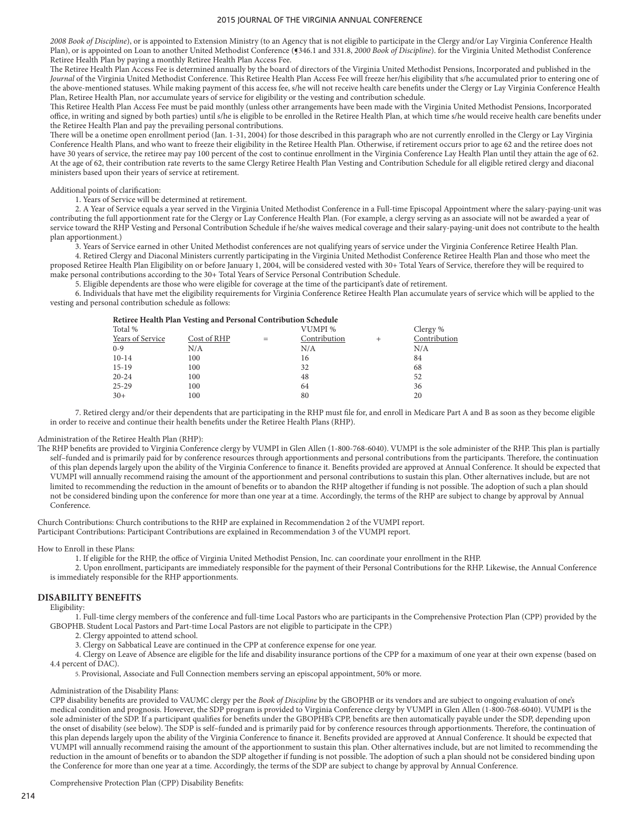*2008 Book of Discipline*), or is appointed to Extension Ministry (to an Agency that is not eligible to participate in the Clergy and/or Lay Virginia Conference Health Plan), or is appointed on Loan to another United Methodist Conference (5346.1 and 331.8, *2000 Book of Discipline*). for the Virginia United Methodist Conference Retiree Health Plan by paying a monthly Retiree Health Plan Access Fee.

The Retiree Health Plan Access Fee is determined annually by the board of directors of the Virginia United Methodist Pensions, Incorporated and published in the *Journal* of the Virginia United Methodist Conference. This Retiree Health Plan Access Fee will freeze her/his eligibility that s/he accumulated prior to entering one of the above-mentioned statuses. While making payment of this access fee, s/he will not receive health care benefits under the Clergy or Lay Virginia Conference Health Plan, Retiree Health Plan, nor accumulate years of service for eligibility or the vesting and contribution schedule.

This Retiree Health Plan Access Fee must be paid monthly (unless other arrangements have been made with the Virginia United Methodist Pensions, Incorporated office, in writing and signed by both parties) until s/he is eligible to be enrolled in the Retiree Health Plan, at which time s/he would receive health care benefits under the Retiree Health Plan and pay the prevailing personal contributions.

There will be a onetime open enrollment period (Jan. 1-31, 2004) for those described in this paragraph who are not currently enrolled in the Clergy or Lay Virginia Conference Health Plans, and who want to freeze their eligibility in the Retiree Health Plan. Otherwise, if retirement occurs prior to age 62 and the retiree does not have 30 years of service, the retiree may pay 100 percent of the cost to continue enrollment in the Virginia Conference Lay Health Plan until they attain the age of 62. At the age of 62, their contribution rate reverts to the same Clergy Retiree Health Plan Vesting and Contribution Schedule for all eligible retired clergy and diaconal ministers based upon their years of service at retirement.

### Additional points of clarification:

1. Years of Service will be determined at retirement.

 2. A Year of Service equals a year served in the Virginia United Methodist Conference in a Full-time Episcopal Appointment where the salary-paying-unit was contributing the full apportionment rate for the Clergy or Lay Conference Health Plan. (For example, a clergy serving as an associate will not be awarded a year of service toward the RHP Vesting and Personal Contribution Schedule if he/she waives medical coverage and their salary-paying-unit does not contribute to the health plan apportionment.)

3. Years of Service earned in other United Methodist conferences are not qualifying years of service under the Virginia Conference Retiree Health Plan.

 4. Retired Clergy and Diaconal Ministers currently participating in the Virginia United Methodist Conference Retiree Health Plan and those who meet the proposed Retiree Health Plan Eligibility on or before January 1, 2004, will be considered vested with 30+ Total Years of Service, therefore they will be required to make personal contributions according to the 30+ Total Years of Service Personal Contribution Schedule.

5. Eligible dependents are those who were eligible for coverage at the time of the participant's date of retirement.

 6. Individuals that have met the eligibility requirements for Virginia Conference Retiree Health Plan accumulate years of service which will be applied to the vesting and personal contribution schedule as follows:

|                  | Retiree Health Plan Vesting and Personal Contribution Schedule |     |              |              |
|------------------|----------------------------------------------------------------|-----|--------------|--------------|
| Total %          |                                                                |     | VUMPI %      | Clergy %     |
| Years of Service | Cost of RHP                                                    | $=$ | Contribution | Contribution |
| $0 - 9$          | N/A                                                            |     | N/A          | N/A          |
| $10-14$          | 100                                                            |     | 16           | 84           |
| $15-19$          | 100                                                            |     | 32           | 68           |
| $20 - 24$        | 100                                                            |     | 48           | 52           |
| $25 - 29$        | 100                                                            |     | 64           | 36           |
| $30+$            | 100                                                            |     | 80           | 20           |
|                  |                                                                |     |              |              |

 7. Retired clergy and/or their dependents that are participating in the RHP must file for, and enroll in Medicare Part A and B as soon as they become eligible in order to receive and continue their health benefits under the Retiree Health Plans (RHP).

### Administration of the Retiree Health Plan (RHP):

The RHP benefits are provided to Virginia Conference clergy by VUMPI in Glen Allen (1-800-768-6040). VUMPI is the sole administer of the RHP. This plan is partially self-funded and is primarily paid for by conference resources through apportionments and personal contributions from the participants. Therefore, the continuation of this plan depends largely upon the ability of the Virginia Conference to finance it. Benefits provided are approved at Annual Conference. It should be expected that VUMPI will annually recommend raising the amount of the apportionment and personal contributions to sustain this plan. Other alternatives include, but are not limited to recommending the reduction in the amount of benefits or to abandon the RHP altogether if funding is not possible. The adoption of such a plan should not be considered binding upon the conference for more than one year at a time. Accordingly, the terms of the RHP are subject to change by approval by Annual Conference.

Church Contributions: Church contributions to the RHP are explained in Recommendation 2 of the VUMPI report. Participant Contributions: Participant Contributions are explained in Recommendation 3 of the VUMPI report.

#### How to Enroll in these Plans:

1. If eligible for the RHP, the office of Virginia United Methodist Pension, Inc. can coordinate your enrollment in the RHP.

 2. Upon enrollment, participants are immediately responsible for the payment of their Personal Contributions for the RHP. Likewise, the Annual Conference is immediately responsible for the RHP apportionments.

## **DISABILITY BENEFITS**

Eligibility:

 1. Full-time clergy members of the conference and full-time Local Pastors who are participants in the Comprehensive Protection Plan (CPP) provided by the GBOPHB. Student Local Pastors and Part-time Local Pastors are not eligible to participate in the CPP.)

2. Clergy appointed to attend school.

3. Clergy on Sabbatical Leave are continued in the CPP at conference expense for one year.

 4. Clergy on Leave of Absence are eligible for the life and disability insurance portions of the CPP for a maximum of one year at their own expense (based on 4.4 percent of DAC).

5. Provisional, Associate and Full Connection members serving an episcopal appointment, 50% or more.

#### Administration of the Disability Plans:

CPP disability benefits are provided to VAUMC clergy per the *Book of Discipline* by the GBOPHB or its vendors and are subject to ongoing evaluation of one's medical condition and prognosis. However, the SDP program is provided to Virginia Conference clergy by VUMPI in Glen Allen (1-800-768-6040). VUMPI is the sole administer of the SDP. If a participant qualifies for benefits under the GBOPHB's CPP, benefits are then automatically payable under the SDP, depending upon the onset of disability (see below). The SDP is self–funded and is primarily paid for by conference resources through apportionments. Therefore, the continuation of this plan depends largely upon the ability of the Virginia Conference to finance it. Benefits provided are approved at Annual Conference. It should be expected that VUMPI will annually recommend raising the amount of the apportionment to sustain this plan. Other alternatives include, but are not limited to recommending the reduction in the amount of benefits or to abandon the SDP altogether if funding is not possible. The adoption of such a plan should not be considered binding upon the Conference for more than one year at a time. Accordingly, the terms of the SDP are subject to change by approval by Annual Conference.

Comprehensive Protection Plan (CPP) Disability Benefits: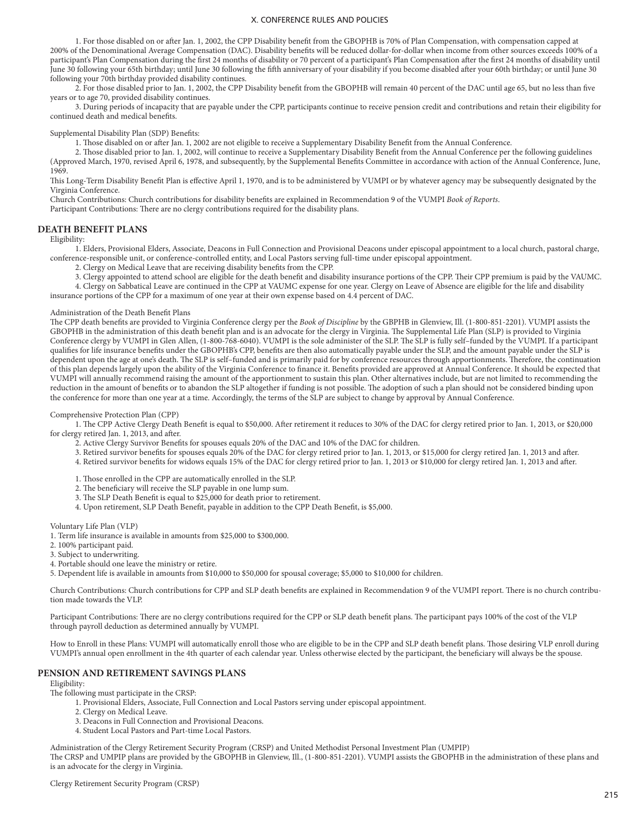1. For those disabled on or after Jan. 1, 2002, the CPP Disability benefit from the GBOPHB is 70% of Plan Compensation, with compensation capped at 200% of the Denominational Average Compensation (DAC). Disability benefits will be reduced dollar-for-dollar when income from other sources exceeds 100% of a participant's Plan Compensation during the first 24 months of disability or 70 percent of a participant's Plan Compensation after the first 24 months of disability until June 30 following your 65th birthday; until June 30 following the fifth anniversary of your disability if you become disabled after your 60th birthday; or until June 30 following your 70th birthday provided disability continues.

 2. For those disabled prior to Jan. 1, 2002, the CPP Disability benefit from the GBOPHB will remain 40 percent of the DAC until age 65, but no less than five years or to age 70, provided disability continues.

 3. During periods of incapacity that are payable under the CPP, participants continue to receive pension credit and contributions and retain their eligibility for continued death and medical benefits.

Supplemental Disability Plan (SDP) Benefits:

1. Those disabled on or after Jan. 1, 2002 are not eligible to receive a Supplementary Disability Benefit from the Annual Conference.

 2. Those disabled prior to Jan. 1, 2002, will continue to receive a Supplementary Disability Benefit from the Annual Conference per the following guidelines (Approved March, 1970, revised April 6, 1978, and subsequently, by the Supplemental Benefits Committee in accordance with action of the Annual Conference, June, 1969.

This Long-Term Disability Benefit Plan is effective April 1, 1970, and is to be administered by VUMPI or by whatever agency may be subsequently designated by the Virginia Conference.

Church Contributions: Church contributions for disability benefits are explained in Recommendation 9 of the VUMPI *Book of Reports*.

Participant Contributions: There are no clergy contributions required for the disability plans.

#### **DEATH BENEFIT PLANS**

Eligibility:

 1. Elders, Provisional Elders, Associate, Deacons in Full Connection and Provisional Deacons under episcopal appointment to a local church, pastoral charge, conference-responsible unit, or conference-controlled entity, and Local Pastors serving full-time under episcopal appointment.

2. Clergy on Medical Leave that are receiving disability benefits from the CPP.

3. Clergy appointed to attend school are eligible for the death benefit and disability insurance portions of the CPP. Their CPP premium is paid by the VAUMC.

 4. Clergy on Sabbatical Leave are continued in the CPP at VAUMC expense for one year. Clergy on Leave of Absence are eligible for the life and disability insurance portions of the CPP for a maximum of one year at their own expense based on 4.4 percent of DAC.

#### Administration of the Death Benefit Plans

The CPP death benefits are provided to Virginia Conference clergy per the *Book of Discipline* by the GBPHB in Glenview, Ill. (1-800-851-2201). VUMPI assists the GBOPHB in the administration of this death benefit plan and is an advocate for the clergy in Virginia. The Supplemental Life Plan (SLP) is provided to Virginia Conference clergy by VUMPI in Glen Allen, (1-800-768-6040). VUMPI is the sole administer of the SLP. The SLP is fully self–funded by the VUMPI. If a participant qualifies for life insurance benefits under the GBOPHB's CPP, benefits are then also automatically payable under the SLP, and the amount payable under the SLP is dependent upon the age at one's death. The SLP is self–funded and is primarily paid for by conference resources through apportionments. Therefore, the continuation of this plan depends largely upon the ability of the Virginia Conference to finance it. Benefits provided are approved at Annual Conference. It should be expected that VUMPI will annually recommend raising the amount of the apportionment to sustain this plan. Other alternatives include, but are not limited to recommending the reduction in the amount of benefits or to abandon the SLP altogether if funding is not possible. The adoption of such a plan should not be considered binding upon the conference for more than one year at a time. Accordingly, the terms of the SLP are subject to change by approval by Annual Conference.

### Comprehensive Protection Plan (CPP)

 1. The CPP Active Clergy Death Benefit is equal to \$50,000. After retirement it reduces to 30% of the DAC for clergy retired prior to Jan. 1, 2013, or \$20,000 for clergy retired Jan. 1, 2013, and after.

- 2. Active Clergy Survivor Benefits for spouses equals 20% of the DAC and 10% of the DAC for children.
- 3. Retired survivor benefits for spouses equals 20% of the DAC for clergy retired prior to Jan. 1, 2013, or \$15,000 for clergy retired Jan. 1, 2013 and after.
- 4. Retired survivor benefits for widows equals 15% of the DAC for clergy retired prior to Jan. 1, 2013 or \$10,000 for clergy retired Jan. 1, 2013 and after.
- 1. Those enrolled in the CPP are automatically enrolled in the SLP.
- 2. The beneficiary will receive the SLP payable in one lump sum.
- 3. The SLP Death Benefit is equal to \$25,000 for death prior to retirement.
- 4. Upon retirement, SLP Death Benefit, payable in addition to the CPP Death Benefit, is \$5,000.

Voluntary Life Plan (VLP)

- 1. Term life insurance is available in amounts from \$25,000 to \$300,000.
- 2. 100% participant paid.
- 3. Subject to underwriting.
- 4. Portable should one leave the ministry or retire.
- 5. Dependent life is available in amounts from \$10,000 to \$50,000 for spousal coverage; \$5,000 to \$10,000 for children.

Church Contributions: Church contributions for CPP and SLP death benefits are explained in Recommendation 9 of the VUMPI report. There is no church contribution made towards the VLP.

Participant Contributions: There are no clergy contributions required for the CPP or SLP death benefit plans. The participant pays 100% of the cost of the VLP through payroll deduction as determined annually by VUMPI.

How to Enroll in these Plans: VUMPI will automatically enroll those who are eligible to be in the CPP and SLP death benefit plans. Those desiring VLP enroll during VUMPI's annual open enrollment in the 4th quarter of each calendar year. Unless otherwise elected by the participant, the beneficiary will always be the spouse.

### **PENSION AND RETIREMENT SAVINGS PLANS**

Eligibility:

The following must participate in the CRSP:

- 1. Provisional Elders, Associate, Full Connection and Local Pastors serving under episcopal appointment.
- 2. Clergy on Medical Leave.
- 3. Deacons in Full Connection and Provisional Deacons.
- 4. Student Local Pastors and Part-time Local Pastors.

Administration of the Clergy Retirement Security Program (CRSP) and United Methodist Personal Investment Plan (UMPIP) The CRSP and UMPIP plans are provided by the GBOPHB in Glenview, Ill., (1-800-851-2201). VUMPI assists the GBOPHB in the administration of these plans and is an advocate for the clergy in Virginia.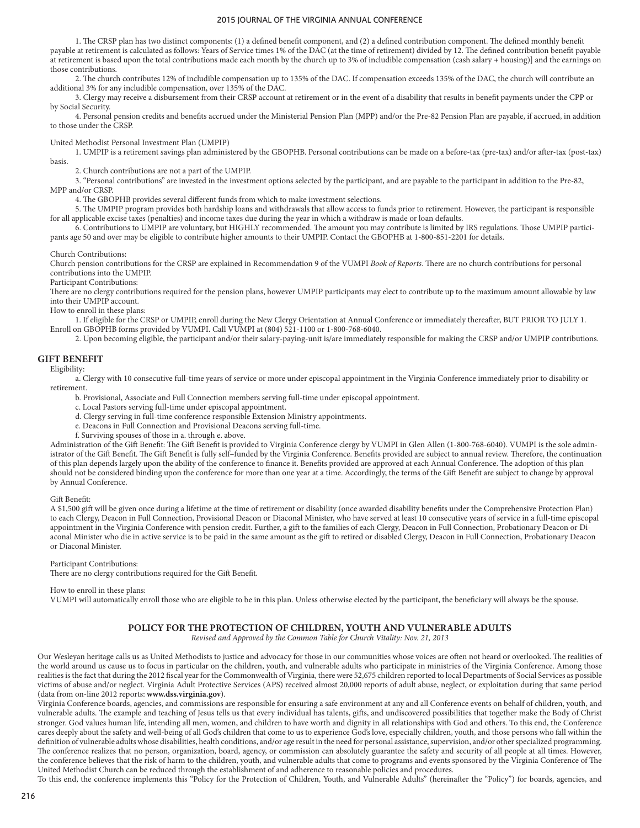1. The CRSP plan has two distinct components: (1) a defined benefit component, and (2) a defined contribution component. The defined monthly benefit payable at retirement is calculated as follows: Years of Service times 1% of the DAC (at the time of retirement) divided by 12. The defined contribution benefit payable at retirement is based upon the total contributions made each month by the church up to 3% of includible compensation (cash salary + housing)] and the earnings on those contributions.

 2. The church contributes 12% of includible compensation up to 135% of the DAC. If compensation exceeds 135% of the DAC, the church will contribute an additional 3% for any includible compensation, over 135% of the DAC.

 3. Clergy may receive a disbursement from their CRSP account at retirement or in the event of a disability that results in benefit payments under the CPP or by Social Security.

 4. Personal pension credits and benefits accrued under the Ministerial Pension Plan (MPP) and/or the Pre-82 Pension Plan are payable, if accrued, in addition to those under the CRSP.

United Methodist Personal Investment Plan (UMPIP)

 1. UMPIP is a retirement savings plan administered by the GBOPHB. Personal contributions can be made on a before-tax (pre-tax) and/or after-tax (post-tax) basis.

2. Church contributions are not a part of the UMPIP.

 3. "Personal contributions" are invested in the investment options selected by the participant, and are payable to the participant in addition to the Pre-82, MPP and/or CRSP.

4. The GBOPHB provides several different funds from which to make investment selections.

 5. The UMPIP program provides both hardship loans and withdrawals that allow access to funds prior to retirement. However, the participant is responsible for all applicable excise taxes (penalties) and income taxes due during the year in which a withdraw is made or loan defaults.

 6. Contributions to UMPIP are voluntary, but HIGHLY recommended. The amount you may contribute is limited by IRS regulations. Those UMPIP participants age 50 and over may be eligible to contribute higher amounts to their UMPIP. Contact the GBOPHB at 1-800-851-2201 for details.

Church Contributions:

Church pension contributions for the CRSP are explained in Recommendation 9 of the VUMPI *Book of Reports*. There are no church contributions for personal contributions into the UMPIP.

Participant Contributions:

There are no clergy contributions required for the pension plans, however UMPIP participants may elect to contribute up to the maximum amount allowable by law into their UMPIP account.

How to enroll in these plans:

1. If eligible for the CRSP or UMPIP, enroll during the New Clergy Orientation at Annual Conference or immediately thereafter, BUT PRIOR TO JULY 1.

Enroll on GBOPHB forms provided by VUMPI. Call VUMPI at (804) 521-1100 or 1-800-768-6040.

2. Upon becoming eligible, the participant and/or their salary-paying-unit is/are immediately responsible for making the CRSP and/or UMPIP contributions.

## **GIFT BENEFIT**

Eligibility:

 a. Clergy with 10 consecutive full-time years of service or more under episcopal appointment in the Virginia Conference immediately prior to disability or retirement.

b. Provisional, Associate and Full Connection members serving full-time under episcopal appointment.

c. Local Pastors serving full-time under episcopal appointment.

d. Clergy serving in full-time conference responsible Extension Ministry appointments.

e. Deacons in Full Connection and Provisional Deacons serving full-time.

f. Surviving spouses of those in a. through e. above.

Administration of the Gift Benefit: The Gift Benefit is provided to Virginia Conference clergy by VUMPI in Glen Allen (1-800-768-6040). VUMPI is the sole administrator of the Gift Benefit. The Gift Benefit is fully self–funded by the Virginia Conference. Benefits provided are subject to annual review. Therefore, the continuation of this plan depends largely upon the ability of the conference to finance it. Benefits provided are approved at each Annual Conference. The adoption of this plan should not be considered binding upon the conference for more than one year at a time. Accordingly, the terms of the Gift Benefit are subject to change by approval by Annual Conference.

Gift Benefit:

A \$1,500 gift will be given once during a lifetime at the time of retirement or disability (once awarded disability benefits under the Comprehensive Protection Plan) to each Clergy, Deacon in Full Connection, Provisional Deacon or Diaconal Minister, who have served at least 10 consecutive years of service in a full-time episcopal appointment in the Virginia Conference with pension credit. Further, a gift to the families of each Clergy, Deacon in Full Connection, Probationary Deacon or Diaconal Minister who die in active service is to be paid in the same amount as the gift to retired or disabled Clergy, Deacon in Full Connection, Probationary Deacon or Diaconal Minister.

Participant Contributions:

There are no clergy contributions required for the Gift Benefit.

How to enroll in these plans:

VUMPI will automatically enroll those who are eligible to be in this plan. Unless otherwise elected by the participant, the beneficiary will always be the spouse.

## **POLICY FOR THE PROTECTION OF CHILDREN, YOUTH AND VULNERABLE ADULTS**

*Revised and Approved by the Common Table for Church Vitality: Nov. 21, 2013*

Our Wesleyan heritage calls us as United Methodists to justice and advocacy for those in our communities whose voices are often not heard or overlooked. The realities of the world around us cause us to focus in particular on the children, youth, and vulnerable adults who participate in ministries of the Virginia Conference. Among those realities is the fact that during the 2012 fiscal year for the Commonwealth of Virginia, there were 52,675 children reported to local Departments of Social Services as possible victims of abuse and/or neglect. Virginia Adult Protective Services (APS) received almost 20,000 reports of adult abuse, neglect, or exploitation during that same period (data from on-line 2012 reports: **www.dss.virginia.gov**).

Virginia Conference boards, agencies, and commissions are responsible for ensuring a safe environment at any and all Conference events on behalf of children, youth, and vulnerable adults. The example and teaching of Jesus tells us that every individual has talents, gifts, and undiscovered possibilities that together make the Body of Christ stronger. God values human life, intending all men, women, and children to have worth and dignity in all relationships with God and others. To this end, the Conference cares deeply about the safety and well-being of all God's children that come to us to experience God's love, especially children, youth, and those persons who fall within the definition of vulnerable adults whose disabilities, health conditions, and/or age result in the need for personal assistance, supervision, and/or other specialized programming. The conference realizes that no person, organization, board, agency, or commission can absolutely guarantee the safety and security of all people at all times. However, the conference believes that the risk of harm to the children, youth, and vulnerable adults that come to programs and events sponsored by the Virginia Conference of The United Methodist Church can be reduced through the establishment of and adherence to reasonable policies and procedures.

To this end, the conference implements this "Policy for the Protection of Children, Youth, and Vulnerable Adults" (hereinafter the "Policy") for boards, agencies, and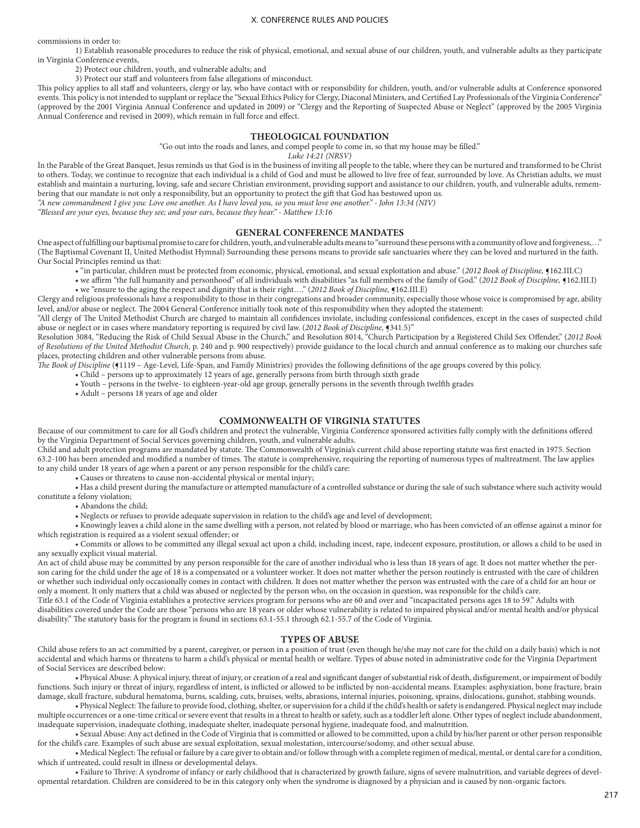commissions in order to:

1) Establish reasonable procedures to reduce the risk of physical, emotional, and sexual abuse of our children, youth, and vulnerable adults as they participate in Virginia Conference events,

2) Protect our children, youth, and vulnerable adults; and

3) Protect our staff and volunteers from false allegations of misconduct.

This policy applies to all staff and volunteers, clergy or lay, who have contact with or responsibility for children, youth, and/or vulnerable adults at Conference sponsored events. This policy is not intended to supplant or replace the "Sexual Ethics Policy for Clergy, Diaconal Ministers, and Certified Lay Professionals of the Virginia Conference" (approved by the 2001 Virginia Annual Conference and updated in 2009) or "Clergy and the Reporting of Suspected Abuse or Neglect" (approved by the 2005 Virginia Annual Conference and revised in 2009), which remain in full force and effect.

### **THEOLOGICAL FOUNDATION**

"Go out into the roads and lanes, and compel people to come in, so that my house may be filled."

*Luke 14:21 (NRSV)*

In the Parable of the Great Banquet, Jesus reminds us that God is in the business of inviting all people to the table, where they can be nurtured and transformed to be Christ to others. Today, we continue to recognize that each individual is a child of God and must be allowed to live free of fear, surrounded by love. As Christian adults, we must establish and maintain a nurturing, loving, safe and secure Christian environment, providing support and assistance to our children, youth, and vulnerable adults, remembering that our mandate is not only a responsibility, but an opportunity to protect the gift that God has bestowed upon us.

*"A new commandment I give you: Love one another. As I have loved you, so you must love one another." - John 13:34 (NIV)*

*"Blessed are your eyes, because they see; and your ears, because they hear." - Matthew 13:16*

## **GENERAL CONFERENCE MANDATES**

One aspect of fulfilling our baptismal promise to care for children, youth, and vulnerable adults means to "surround these persons with a community of love and forgiveness,…" (The Baptismal Covenant II, United Methodist Hymnal) Surrounding these persons means to provide safe sanctuaries where they can be loved and nurtured in the faith. Our Social Principles remind us that:

- "in particular, children must be protected from economic, physical, emotional, and sexual exploitation and abuse." (*2012 Book of Discipline,* ¶162.III.C)
	- we affirm "the full humanity and personhood" of all individuals with disabilities "as full members of the family of God." (2012 Book of Discipline, §162.III.I) • we "ensure to the aging the respect and dignity that is their right…." (*2012 Book of Discipline,* ¶162.III.E)
	-

Clergy and religious professionals have a responsibility to those in their congregations and broader community, especially those whose voice is compromised by age, ability level, and/or abuse or neglect. The 2004 General Conference initially took note of this responsibility when they adopted the statement:

"All clergy of The United Methodist Church are charged to maintain all confidences inviolate, including confessional confidences, except in the cases of suspected child abuse or neglect or in cases where mandatory reporting is required by civil law. (2012 Book of Discipline,  $\sim$  341.5)"

Resolution 3084, "Reducing the Risk of Child Sexual Abuse in the Church," and Resolution 8014, "Church Participation by a Registered Child Sex Offender," (*2012 Book of Resolutions of the United Methodist Church*, p. 240 and p. 900 respectively) provide guidance to the local church and annual conference as to making our churches safe places, protecting children and other vulnerable persons from abuse.

*The Book of Discipline* (¶1119 – Age-Level, Life-Span, and Family Ministries) provides the following definitions of the age groups covered by this policy.

• Child – persons up to approximately 12 years of age, generally persons from birth through sixth grade

• Youth – persons in the twelve- to eighteen-year-old age group, generally persons in the seventh through twelfth grades

• Adult – persons 18 years of age and older

### **COMMONWEALTH OF VIRGINIA STATUTES**

Because of our commitment to care for all God's children and protect the vulnerable, Virginia Conference sponsored activities fully comply with the definitions offered by the Virginia Department of Social Services governing children, youth, and vulnerable adults.

Child and adult protection programs are mandated by statute. The Commonwealth of Virginia's current child abuse reporting statute was first enacted in 1975. Section 63.2-100 has been amended and modified a number of times. The statute is comprehensive, requiring the reporting of numerous types of maltreatment. The law applies to any child under 18 years of age when a parent or any person responsible for the child's care:

• Causes or threatens to cause non-accidental physical or mental injury;

• Has a child present during the manufacture or attempted manufacture of a controlled substance or during the sale of such substance where such activity would constitute a felony violation;

• Abandons the child;

• Neglects or refuses to provide adequate supervision in relation to the child's age and level of development;

• Knowingly leaves a child alone in the same dwelling with a person, not related by blood or marriage, who has been convicted of an offense against a minor for which registration is required as a violent sexual offender; or

• Commits or allows to be committed any illegal sexual act upon a child, including incest, rape, indecent exposure, prostitution, or allows a child to be used in any sexually explicit visual material.

An act of child abuse may be committed by any person responsible for the care of another individual who is less than 18 years of age. It does not matter whether the person caring for the child under the age of 18 is a compensated or a volunteer worker. It does not matter whether the person routinely is entrusted with the care of children or whether such individual only occasionally comes in contact with children. It does not matter whether the person was entrusted with the care of a child for an hour or only a moment. It only matters that a child was abused or neglected by the person who, on the occasion in question, was responsible for the child's care.

Title 63.1 of the Code of Virginia establishes a protective services program for persons who are 60 and over and "incapacitated persons ages 18 to 59." Adults with disabilities covered under the Code are those "persons who are 18 years or older whose vulnerability is related to impaired physical and/or mental health and/or physical disability." The statutory basis for the program is found in sections 63.1-55.1 through 62.1-55.7 of the Code of Virginia.

#### **TYPES OF ABUSE**

Child abuse refers to an act committed by a parent, caregiver, or person in a position of trust (even though he/she may not care for the child on a daily basis) which is not accidental and which harms or threatens to harm a child's physical or mental health or welfare. Types of abuse noted in administrative code for the Virginia Department of Social Services are described below:

• Physical Abuse: A physical injury, threat of injury, or creation of a real and significant danger of substantial risk of death, disfigurement, or impairment of bodily functions. Such injury or threat of injury, regardless of intent, is inflicted or allowed to be inflicted by non-accidental means. Examples: asphyxiation, bone fracture, brain damage, skull fracture, subdural hematoma, burns, scalding, cuts, bruises, welts, abrasions, internal injuries, poisoning, sprains, dislocations, gunshot, stabbing wounds.

• Physical Neglect: The failure to provide food, clothing, shelter, or supervision for a child if the child's health or safety is endangered. Physical neglect may include multiple occurrences or a one-time critical or severe event that results in a threat to health or safety, such as a toddler left alone. Other types of neglect include abandonment, inadequate supervision, inadequate clothing, inadequate shelter, inadequate personal hygiene, inadequate food, and malnutrition.

• Sexual Abuse: Any act defined in the Code of Virginia that is committed or allowed to be committed, upon a child by his/her parent or other person responsible for the child's care. Examples of such abuse are sexual exploitation, sexual molestation, intercourse/sodomy, and other sexual abuse.

• Medical Neglect: The refusal or failure by a care giver to obtain and/or follow through with a complete regimen of medical, mental, or dental care for a condition, which if untreated, could result in illness or developmental delays.

• Failure to Thrive: A syndrome of infancy or early childhood that is characterized by growth failure, signs of severe malnutrition, and variable degrees of developmental retardation. Children are considered to be in this category only when the syndrome is diagnosed by a physician and is caused by non-organic factors.